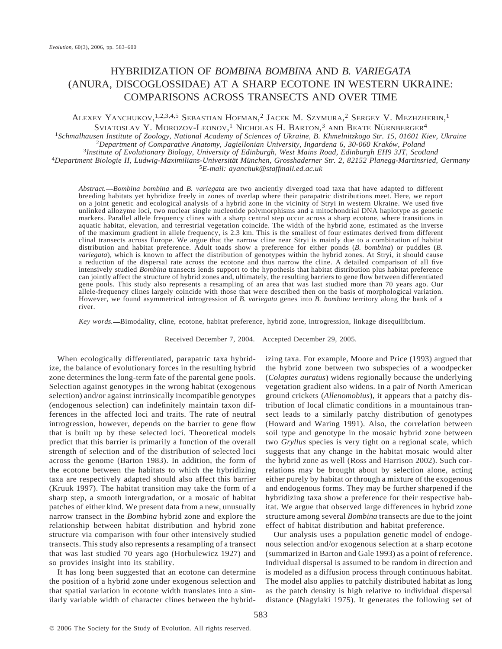# HYBRIDIZATION OF *BOMBINA BOMBINA* AND *B. VARIEGATA* (ANURA, DISCOGLOSSIDAE) AT A SHARP ECOTONE IN WESTERN UKRAINE: COMPARISONS ACROSS TRANSECTS AND OVER TIME

ALEXEY YANCHUKOV,<sup>1,2,3,4,5</sup> SEBASTIAN HOFMAN,<sup>2</sup> JACEK M. SZYMURA,<sup>2</sup> SERGEY V. MEZHZHERIN,<sup>1</sup>

SVIATOSLAV Y. MOROZOV-LEONOV,<sup>1</sup> NICHOLAS H. BARTON,<sup>3</sup> AND BEATE NÜRNBERGER<sup>4</sup>

<sup>1</sup>Schmalhausen Institute of Zoology, National Academy of Sciences of Ukraine, B. Khmelnitzkogo Str. 15, 01601 Kiev, Ukraine<br><sup>2</sup>Department of Comparative Anatomy, Jagiellonian University, Ingardena 6, 30-060 Kraków, Polan

*Abstract. Bombina bombina* and *B. variegata* are two anciently diverged toad taxa that have adapted to different breeding habitats yet hybridize freely in zones of overlap where their parapatric distributions meet. Here, we report on a joint genetic and ecological analysis of a hybrid zone in the vicinity of Stryi in western Ukraine. We used five unlinked allozyme loci, two nuclear single nucleotide polymorphisms and a mitochondrial DNA haplotype as genetic markers. Parallel allele frequency clines with a sharp central step occur across a sharp ecotone, where transitions in aquatic habitat, elevation, and terrestrial vegetation coincide. The width of the hybrid zone, estimated as the inverse of the maximum gradient in allele frequency, is 2.3 km. This is the smallest of four estimates derived from different clinal transects across Europe. We argue that the narrow cline near Stryi is mainly due to a combination of habitat distribution and habitat preference. Adult toads show a preference for either ponds (*B. bombina*) or puddles (*B. variegata*), which is known to affect the distribution of genotypes within the hybrid zones. At Stryi, it should cause a reduction of the dispersal rate across the ecotone and thus narrow the cline. A detailed comparison of all five intensively studied *Bombina* transects lends support to the hypothesis that habitat distribution plus habitat preference can jointly affect the structure of hybrid zones and, ultimately, the resulting barriers to gene flow between differentiated gene pools. This study also represents a resampling of an area that was last studied more than 70 years ago. Our allele-frequency clines largely coincide with those that were described then on the basis of morphological variation. However, we found asymmetrical introgression of *B. variegata* genes into *B. bombina* territory along the bank of a river.

*Key words.* Bimodality, cline, ecotone, habitat preference, hybrid zone, introgression, linkage disequilibrium.

Received December 7, 2004. Accepted December 29, 2005.

When ecologically differentiated, parapatric taxa hybridize, the balance of evolutionary forces in the resulting hybrid zone determines the long-term fate of the parental gene pools. Selection against genotypes in the wrong habitat (exogenous selection) and/or against intrinsically incompatible genotypes (endogenous selection) can indefinitely maintain taxon differences in the affected loci and traits. The rate of neutral introgression, however, depends on the barrier to gene flow that is built up by these selected loci. Theoretical models predict that this barrier is primarily a function of the overall strength of selection and of the distribution of selected loci across the genome (Barton 1983). In addition, the form of the ecotone between the habitats to which the hybridizing taxa are respectively adapted should also affect this barrier (Kruuk 1997). The habitat transition may take the form of a sharp step, a smooth intergradation, or a mosaic of habitat patches of either kind. We present data from a new, unusually narrow transect in the *Bombina* hybrid zone and explore the relationship between habitat distribution and hybrid zone structure via comparison with four other intensively studied transects. This study also represents a resampling of a transect that was last studied 70 years ago (Horbulewicz 1927) and so provides insight into its stability.

It has long been suggested that an ecotone can determine the position of a hybrid zone under exogenous selection and that spatial variation in ecotone width translates into a similarly variable width of character clines between the hybrid-

izing taxa. For example, Moore and Price (1993) argued that the hybrid zone between two subspecies of a woodpecker (*Colaptes auratus*) widens regionally because the underlying vegetation gradient also widens. In a pair of North American ground crickets (*Allenomobius*), it appears that a patchy distribution of local climatic conditions in a mountainous transect leads to a similarly patchy distribution of genotypes (Howard and Waring 1991). Also, the correlation between soil type and genotype in the mosaic hybrid zone between two *Gryllus* species is very tight on a regional scale, which suggests that any change in the habitat mosaic would alter the hybrid zone as well (Ross and Harrison 2002). Such correlations may be brought about by selection alone, acting either purely by habitat or through a mixture of the exogenous and endogenous forms. They may be further sharpened if the hybridizing taxa show a preference for their respective habitat. We argue that observed large differences in hybrid zone structure among several *Bombina* transects are due to the joint effect of habitat distribution and habitat preference.

Our analysis uses a population genetic model of endogenous selection and/or exogenous selection at a sharp ecotone (summarized in Barton and Gale 1993) as a point of reference. Individual dispersal is assumed to be random in direction and is modeled as a diffusion process through continuous habitat. The model also applies to patchily distributed habitat as long as the patch density is high relative to individual dispersal distance (Nagylaki 1975). It generates the following set of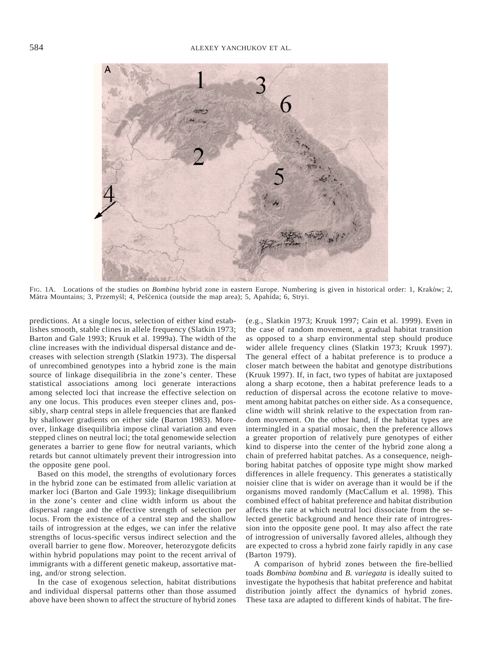

FIG. 1A. Locations of the studies on *Bombina* hybrid zone in eastern Europe. Numbering is given in historical order: 1, Kraków; 2, Mátra Mountains; 3, Przemyśl; 4, Pešćenica (outside the map area); 5, Apahida; 6, Stryi.

predictions. At a single locus, selection of either kind establishes smooth, stable clines in allele frequency (Slatkin 1973; Barton and Gale 1993; Kruuk et al. 1999a). The width of the cline increases with the individual dispersal distance and decreases with selection strength (Slatkin 1973). The dispersal of unrecombined genotypes into a hybrid zone is the main source of linkage disequilibria in the zone's center. These statistical associations among loci generate interactions among selected loci that increase the effective selection on any one locus. This produces even steeper clines and, possibly, sharp central steps in allele frequencies that are flanked by shallower gradients on either side (Barton 1983). Moreover, linkage disequilibria impose clinal variation and even stepped clines on neutral loci; the total genomewide selection generates a barrier to gene flow for neutral variants, which retards but cannot ultimately prevent their introgression into the opposite gene pool.

Based on this model, the strengths of evolutionary forces in the hybrid zone can be estimated from allelic variation at marker loci (Barton and Gale 1993); linkage disequilibrium in the zone's center and cline width inform us about the dispersal range and the effective strength of selection per locus. From the existence of a central step and the shallow tails of introgression at the edges, we can infer the relative strengths of locus-specific versus indirect selection and the overall barrier to gene flow. Moreover, heterozygote deficits within hybrid populations may point to the recent arrival of immigrants with a different genetic makeup, assortative mating, and/or strong selection.

In the case of exogenous selection, habitat distributions and individual dispersal patterns other than those assumed above have been shown to affect the structure of hybrid zones (e.g., Slatkin 1973; Kruuk 1997; Cain et al. 1999). Even in the case of random movement, a gradual habitat transition as opposed to a sharp environmental step should produce wider allele frequency clines (Slatkin 1973; Kruuk 1997). The general effect of a habitat preference is to produce a closer match between the habitat and genotype distributions (Kruuk 1997). If, in fact, two types of habitat are juxtaposed along a sharp ecotone, then a habitat preference leads to a reduction of dispersal across the ecotone relative to movement among habitat patches on either side. As a consequence, cline width will shrink relative to the expectation from random movement. On the other hand, if the habitat types are intermingled in a spatial mosaic, then the preference allows a greater proportion of relatively pure genotypes of either kind to disperse into the center of the hybrid zone along a chain of preferred habitat patches. As a consequence, neighboring habitat patches of opposite type might show marked differences in allele frequency. This generates a statistically noisier cline that is wider on average than it would be if the organisms moved randomly (MacCallum et al. 1998). This combined effect of habitat preference and habitat distribution affects the rate at which neutral loci dissociate from the selected genetic background and hence their rate of introgression into the opposite gene pool. It may also affect the rate of introgression of universally favored alleles, although they are expected to cross a hybrid zone fairly rapidly in any case (Barton 1979).

A comparison of hybrid zones between the fire-bellied toads *Bombina bombina* and *B. variegata* is ideally suited to investigate the hypothesis that habitat preference and habitat distribution jointly affect the dynamics of hybrid zones. These taxa are adapted to different kinds of habitat. The fire-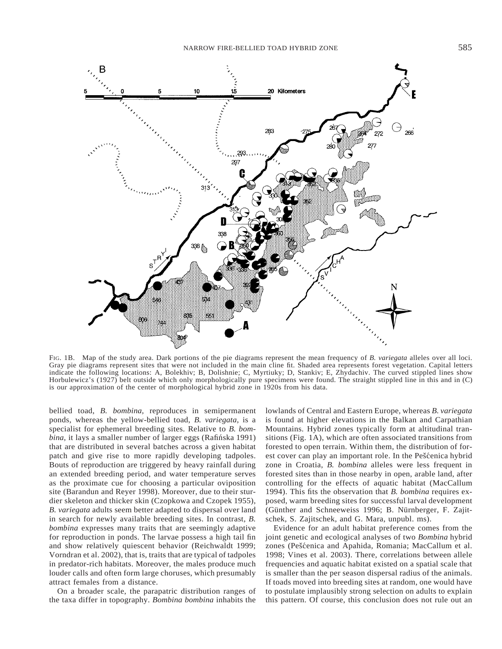

FIG. 1B. Map of the study area. Dark portions of the pie diagrams represent the mean frequency of *B. variegata* alleles over all loci. Gray pie diagrams represent sites that were not included in the main cline fit. Shaded area represents forest vegetation. Capital letters indicate the following locations: A, Bolekhiv; B, Dolishnie; C, Myrtiuky; D, Stankiv; E, Zhydachiv. The curved stippled lines show Horbulewicz's (1927) belt outside which only morphologically pure specimens were found. The straight stippled line in this and in (C) is our approximation of the center of morphological hybrid zone in 1920s from his data.

bellied toad, *B. bombina,* reproduces in semipermanent ponds, whereas the yellow-bellied toad, *B. variegata*, is a specialist for ephemeral breeding sites. Relative to *B. bombina*, it lays a smaller number of larger eggs (Rafinska 1991) that are distributed in several batches across a given habitat patch and give rise to more rapidly developing tadpoles. Bouts of reproduction are triggered by heavy rainfall during an extended breeding period, and water temperature serves as the proximate cue for choosing a particular oviposition site (Barandun and Reyer 1998). Moreover, due to their sturdier skeleton and thicker skin (Czopkowa and Czopek 1955), *B. variegata* adults seem better adapted to dispersal over land in search for newly available breeding sites. In contrast, *B. bombina* expresses many traits that are seemingly adaptive for reproduction in ponds. The larvae possess a high tail fin and show relatively quiescent behavior (Reichwaldt 1999; Vorndran et al. 2002), that is, traits that are typical of tadpoles in predator-rich habitats. Moreover, the males produce much louder calls and often form large choruses, which presumably attract females from a distance.

On a broader scale, the parapatric distribution ranges of the taxa differ in topography. *Bombina bombina* inhabits the lowlands of Central and Eastern Europe, whereas *B. variegata* is found at higher elevations in the Balkan and Carpathian Mountains. Hybrid zones typically form at altitudinal transitions (Fig. 1A), which are often associated transitions from forested to open terrain. Within them, the distribution of forest cover can play an important role. In the Pešćenica hybrid zone in Croatia, *B. bombina* alleles were less frequent in forested sites than in those nearby in open, arable land, after controlling for the effects of aquatic habitat (MacCallum 1994). This fits the observation that *B. bombina* requires exposed, warm breeding sites for successful larval development (Günther and Schneeweiss 1996; B. Nürnberger, F. Zajitschek, S. Zajitschek, and G. Mara, unpubl. ms).

Evidence for an adult habitat preference comes from the joint genetic and ecological analyses of two *Bombina* hybrid zones (Pešćenica and Apahida, Romania; MacCallum et al. 1998; Vines et al. 2003). There, correlations between allele frequencies and aquatic habitat existed on a spatial scale that is smaller than the per season dispersal radius of the animals. If toads moved into breeding sites at random, one would have to postulate implausibly strong selection on adults to explain this pattern. Of course, this conclusion does not rule out an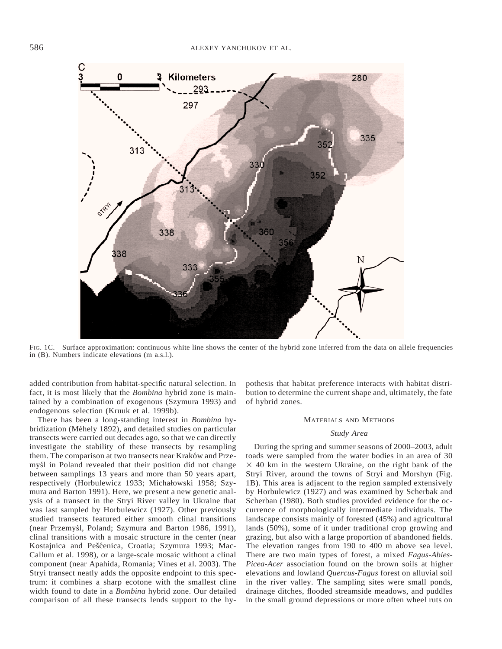

FIG. 1C. Surface approximation: continuous white line shows the center of the hybrid zone inferred from the data on allele frequencies in (B). Numbers indicate elevations (m a.s.l.).

added contribution from habitat-specific natural selection. In fact, it is most likely that the *Bombina* hybrid zone is maintained by a combination of exogenous (Szymura 1993) and endogenous selection (Kruuk et al. 1999b).

There has been a long-standing interest in *Bombina* hybridization (Méhely 1892), and detailed studies on particular transects were carried out decades ago, so that we can directly investigate the stability of these transects by resampling them. The comparison at two transects near Kraków and Przemyśl in Poland revealed that their position did not change between samplings 13 years and more than 50 years apart, respectively (Horbulewicz 1933; Michałowski 1958; Szymura and Barton 1991). Here, we present a new genetic analysis of a transect in the Stryi River valley in Ukraine that was last sampled by Horbulewicz (1927). Other previously studied transects featured either smooth clinal transitions (near Przemyśl, Poland; Szymura and Barton 1986, 1991), clinal transitions with a mosaic structure in the center (near Kostajnica and Pešćenica, Croatia; Szymura 1993; Mac-Callum et al. 1998), or a large-scale mosaic without a clinal component (near Apahida, Romania; Vines et al. 2003). The Stryi transect neatly adds the opposite endpoint to this spectrum: it combines a sharp ecotone with the smallest cline width found to date in a *Bombina* hybrid zone. Our detailed comparison of all these transects lends support to the hypothesis that habitat preference interacts with habitat distribution to determine the current shape and, ultimately, the fate of hybrid zones.

### MATERIALS AND METHODS

# *Study Area*

During the spring and summer seasons of 2000–2003, adult toads were sampled from the water bodies in an area of 30  $\times$  40 km in the western Ukraine, on the right bank of the Stryi River, around the towns of Stryi and Morshyn (Fig. 1B). This area is adjacent to the region sampled extensively by Horbulewicz (1927) and was examined by Scherbak and Scherban (1980). Both studies provided evidence for the occurrence of morphologically intermediate individuals. The landscape consists mainly of forested (45%) and agricultural lands (50%), some of it under traditional crop growing and grazing, but also with a large proportion of abandoned fields. The elevation ranges from 190 to 400 m above sea level. There are two main types of forest, a mixed *Fagus*-*Abies*-*Picea*-*Acer* association found on the brown soils at higher elevations and lowland *Quercus*-*Fagus* forest on alluvial soil in the river valley. The sampling sites were small ponds, drainage ditches, flooded streamside meadows, and puddles in the small ground depressions or more often wheel ruts on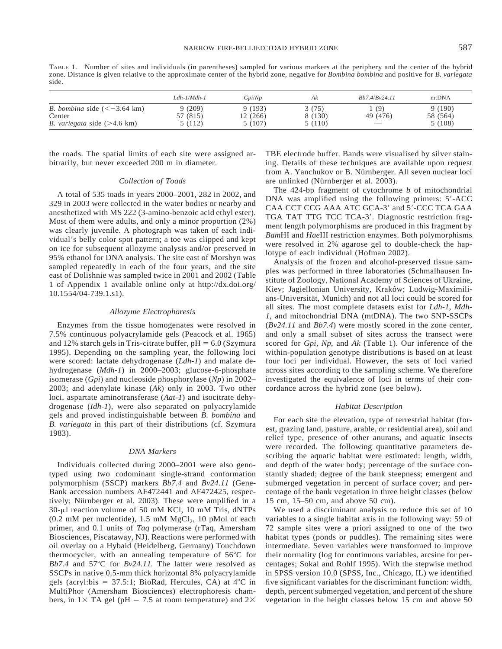TABLE 1. Number of sites and individuals (in parentheses) sampled for various markers at the periphery and the center of the hybrid zone. Distance is given relative to the approximate center of the hybrid zone, negative for *Bombina bombina* and positive for *B. variegata* side.

|                                       | Ldh-1/Mdh-1 | Gpi/Np   | Αk      | Bb7.4/Bv24.11                   | mtDNA    |
|---------------------------------------|-------------|----------|---------|---------------------------------|----------|
| <i>B. bombina</i> side $(< -3.64$ km) | 9 (209)     | 9 (193)  | 3(75)   | (9)                             | 9(190)   |
| Center                                | 57 (815)    | 12 (266) | 8 (130) | 49 (476)                        | 58 (564) |
| <i>B. variegata</i> side $(>4.6$ km)  | 5 (112)     | 5 (107)  | 5(110)  | $\hspace{0.1mm}-\hspace{0.1mm}$ | 5(108)   |

the roads. The spatial limits of each site were assigned arbitrarily, but never exceeded 200 m in diameter.

#### *Collection of Toads*

A total of 535 toads in years 2000–2001, 282 in 2002, and 329 in 2003 were collected in the water bodies or nearby and anesthetized with MS 222 (3-amino-benzoic acid ethyl ester). Most of them were adults, and only a minor proportion (2%) was clearly juvenile. A photograph was taken of each individual's belly color spot pattern; a toe was clipped and kept on ice for subsequent allozyme analysis and/or preserved in 95% ethanol for DNA analysis. The site east of Morshyn was sampled repeatedly in each of the four years, and the site east of Dolishnie was sampled twice in 2001 and 2002 (Table 1 of Appendix 1 available online only at http://dx.doi.org/ 10.1554/04-739.1.s1).

# *Allozyme Electrophoresis*

Enzymes from the tissue homogenates were resolved in 7.5% continuous polyacrylamide gels (Peacock et al. 1965) and 12% starch gels in Tris-citrate buffer,  $pH = 6.0$  (Szymura 1995). Depending on the sampling year, the following loci were scored: lactate dehydrogenase (*Ldh-1*) and malate dehydrogenase (*Mdh-1*) in 2000–2003; glucose-6-phosphate isomerase (*Gpi*) and nucleoside phosphorylase (*Np*) in 2002– 2003; and adenylate kinase (*Ak*) only in 2003. Two other loci, aspartate aminotransferase (*Aat-1*) and isocitrate dehydrogenase (*Idh-1*), were also separated on polyacrylamide gels and proved indistinguishable between *B. bombina* and *B. variegata* in this part of their distributions (cf. Szymura 1983).

#### *DNA Markers*

Individuals collected during 2000–2001 were also genotyped using two codominant single-strand conformation polymorphism (SSCP) markers *Bb7.4* and *Bv24.11* (Gene-Bank accession numbers AF472441 and AF472425, respectively; Nürnberger et al. 2003). These were amplified in a  $30$ -µl reaction volume of 50 mM KCl, 10 mM Tris, dNTPs  $(0.2 \text{ mM per nucleotide})$ , 1.5 mM MgCl<sub>2</sub>, 10 pMol of each primer, and 0.1 units of *Taq* polymerase (rTaq, Amersham Biosciences, Piscataway, NJ). Reactions were performed with oil overlay on a Hybaid (Heidelberg, Germany) Touchdown thermocycler, with an annealing temperature of  $56^{\circ}$ C for *Bb7.4* and 57°C for *Bv24.11*. The latter were resolved as SSCPs in native 0.5-mm thick horizontal 8% polyacrylamide gels (acryl:bis = 37.5:1; BioRad, Hercules, CA) at  $4^{\circ}$ C in MultiPhor (Amersham Biosciences) electrophoresis chambers, in  $1 \times TA$  gel (pH = 7.5 at room temperature) and  $2 \times$ 

TBE electrode buffer. Bands were visualised by silver staining. Details of these techniques are available upon request from A. Yanchukov or B. Nürnberger. All seven nuclear loci are unlinked (Nürnberger et al. 2003).

The 424-bp fragment of cytochrome *b* of mitochondrial DNA was amplified using the following primers: 5'-ACC CAA CCT CCG AAA ATC GCA-3' and 5'-CCC TCA GAA TGA TAT TTG TCC TCA-3'. Diagnostic restriction fragment length polymorphisms are produced in this fragment by *Bam*HI and *Hae*III restriction enzymes. Both polymorphisms were resolved in 2% agarose gel to double-check the haplotype of each individual (Hofman 2002).

Analysis of the frozen and alcohol-preserved tissue samples was performed in three laboratories (Schmalhausen Institute of Zoology, National Academy of Sciences of Ukraine, Kiev; Jagiellonian University, Kraków; Ludwig-Maximilians-Universität, Munich) and not all loci could be scored for all sites. The most complete datasets exist for *Ldh-1*, *Mdh-1*, and mitochondrial DNA (mtDNA). The two SNP-SSCPs (*Bv24.11* and *Bb7.4*) were mostly scored in the zone center, and only a small subset of sites across the transect were scored for *Gpi*, *Np*, and *Ak* (Table 1). Our inference of the within-population genotype distributions is based on at least four loci per individual. However, the sets of loci varied across sites according to the sampling scheme. We therefore investigated the equivalence of loci in terms of their concordance across the hybrid zone (see below).

#### *Habitat Description*

For each site the elevation, type of terrestrial habitat (forest, grazing land, pasture, arable, or residential area), soil and relief type, presence of other anurans, and aquatic insects were recorded. The following quantitative parameters describing the aquatic habitat were estimated: length, width, and depth of the water body; percentage of the surface constantly shaded; degree of the bank steepness; emergent and submerged vegetation in percent of surface cover; and percentage of the bank vegetation in three height classes (below 15 cm, 15–50 cm, and above 50 cm).

We used a discriminant analysis to reduce this set of 10 variables to a single habitat axis in the following way: 59 of 72 sample sites were a priori assigned to one of the two habitat types (ponds or puddles). The remaining sites were intermediate. Seven variables were transformed to improve their normality (log for continuous variables, arcsine for percentages; Sokal and Rohlf 1995). With the stepwise method in SPSS version 10.0 (SPSS, Inc., Chicago, IL) we identified five significant variables for the discriminant function: width, depth, percent submerged vegetation, and percent of the shore vegetation in the height classes below 15 cm and above 50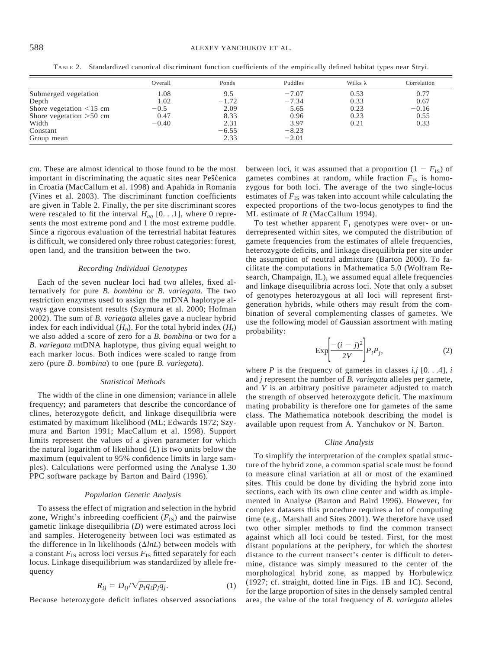|                               | Overall | Ponds   | Puddles | Wilks $\lambda$ | Correlation |
|-------------------------------|---------|---------|---------|-----------------|-------------|
| Submerged vegetation          | 1.08    | 9.5     | $-7.07$ | 0.53            | 0.77        |
| Depth                         | 1.02    | $-1.72$ | $-7.34$ | 0.33            | 0.67        |
| Shore vegetation $\leq 15$ cm | $-0.5$  | 2.09    | 5.65    | 0.23            | $-0.16$     |
| Shore vegetation $>50$ cm     | 0.47    | 8.33    | 0.96    | 0.23            | 0.55        |
| Width                         | $-0.40$ | 2.31    | 3.97    | 0.21            | 0.33        |
| Constant                      |         | $-6.55$ | $-8.23$ |                 |             |
| Group mean                    |         | 2.33    | $-2.01$ |                 |             |

TABLE 2. Standardized canonical discriminant function coefficients of the empirically defined habitat types near Stryi.

cm. These are almost identical to those found to be the most important in discriminating the aquatic sites near Pešćenica in Croatia (MacCallum et al. 1998) and Apahida in Romania (Vines et al. 2003). The discriminant function coefficients are given in Table 2. Finally, the per site discriminant scores were rescaled to fit the interval  $H_{aq}$  [0. . .1], where 0 represents the most extreme pond and 1 the most extreme puddle. Since a rigorous evaluation of the terrestrial habitat features is difficult, we considered only three robust categories: forest, open land, and the transition between the two.

#### *Recording Individual Genotypes*

Each of the seven nuclear loci had two alleles, fixed alternatively for pure *B. bombina* or *B. variegata*. The two restriction enzymes used to assign the mtDNA haplotype always gave consistent results (Szymura et al. 2000; Hofman 2002). The sum of *B. variegata* alleles gave a nuclear hybrid index for each individual  $(H_n)$ . For the total hybrid index  $(H_t)$ we also added a score of zero for a *B. bombina* or two for a *B. variegata* mtDNA haplotype, thus giving equal weight to each marker locus. Both indices were scaled to range from zero (pure *B. bombina*) to one (pure *B. variegata*).

#### *Statistical Methods*

The width of the cline in one dimension; variance in allele frequency; and parameters that describe the concordance of clines, heterozygote deficit, and linkage disequilibria were estimated by maximum likelihood (ML; Edwards 1972; Szymura and Barton 1991; MacCallum et al. 1998). Support limits represent the values of a given parameter for which the natural logarithm of likelihood (*L*) is two units below the maximum (equivalent to 95% confidence limits in large samples). Calculations were performed using the Analyse 1.30 PPC software package by Barton and Baird (1996).

#### *Population Genetic Analysis*

To assess the effect of migration and selection in the hybrid zone, Wright's inbreeding coefficient  $(F_{IS})$  and the pairwise gametic linkage disequilibria (*D*) were estimated across loci and samples. Heterogeneity between loci was estimated as the difference in ln likelihoods  $(\Delta lnL)$  between models with a constant  $F_{IS}$  across loci versus  $F_{IS}$  fitted separately for each locus. Linkage disequilibrium was standardized by allele frequency

$$
R_{ij} = D_{ij} / \sqrt{p_i q_i p_j q_j}.
$$
 (1)

Because heterozygote deficit inflates observed associations

between loci, it was assumed that a proportion  $(1 - F_{IS})$  of gametes combines at random, while fraction  $F_{IS}$  is homozygous for both loci. The average of the two single-locus estimates of  $F_{IS}$  was taken into account while calculating the expected proportions of the two-locus genotypes to find the ML estimate of *R* (MacCallum 1994).

To test whether apparent  $F_1$  genotypes were over- or underrepresented within sites, we computed the distribution of gamete frequencies from the estimates of allele frequencies, heterozygote deficits, and linkage disequilibria per site under the assumption of neutral admixture (Barton 2000). To facilitate the computations in Mathematica 5.0 (Wolfram Research, Champaign, IL), we assumed equal allele frequencies and linkage disequilibria across loci. Note that only a subset of genotypes heterozygous at all loci will represent firstgeneration hybrids, while others may result from the combination of several complementing classes of gametes. We use the following model of Gaussian assortment with mating probability:

$$
\exp\left[\frac{-(i-j)^2}{2V}\right]P_iP_j,\tag{2}
$$

where *P* is the frequency of gametes in classes  $i, j$  [0. . .4],  $i$ and *j* represent the number of *B. variegata* alleles per gamete, and *V* is an arbitrary positive parameter adjusted to match the strength of observed heterozygote deficit. The maximum mating probability is therefore one for gametes of the same class. The Mathematica notebook describing the model is available upon request from A. Yanchukov or N. Barton.

#### *Cline Analysis*

To simplify the interpretation of the complex spatial structure of the hybrid zone, a common spatial scale must be found to measure clinal variation at all or most of the examined sites. This could be done by dividing the hybrid zone into sections, each with its own cline center and width as implemented in Analyse (Barton and Baird 1996). However, for complex datasets this procedure requires a lot of computing time (e.g., Marshall and Sites 2001). We therefore have used two other simpler methods to find the common transect against which all loci could be tested. First, for the most distant populations at the periphery, for which the shortest distance to the current transect's center is difficult to determine, distance was simply measured to the center of the morphological hybrid zone, as mapped by Horbulewicz (1927; cf. straight, dotted line in Figs. 1B and 1C). Second, for the large proportion of sites in the densely sampled central area, the value of the total frequency of *B. variegata* alleles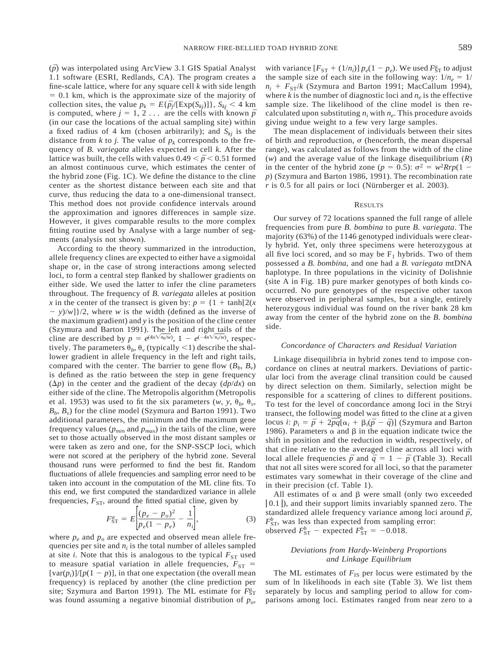$(\bar{p})$  was interpolated using ArcView 3.1 GIS Spatial Analyst 1.1 software (ESRI, Redlands, CA). The program creates a fine-scale lattice, where for any square cell *k* with side length  $= 0.1$  km, which is the approximate size of the majority of collection sites, the value  $p_k = E\{\bar{p}/[\text{Exp}(S_{ki})]\}, S_{ki} < 4 \text{ km}$ is computed, where  $j = 1, 2, \ldots$  are the cells with known  $\bar{p}$ (in our case the locations of the actual sampling site) within a fixed radius of 4 km (chosen arbitrarily); and  $S_{ki}$  is the distance from  $k$  to  $j$ . The value of  $p_k$  corresponds to the frequency of *B. variegata* alleles expected in cell *k.* After the lattice was built, the cells with values  $0.49 < \bar{p} < 0.51$  formed an almost continuous curve, which estimates the center of the hybrid zone (Fig. 1C). We define the distance to the cline center as the shortest distance between each site and that curve, thus reducing the data to a one-dimensional transect. This method does not provide confidence intervals around the approximation and ignores differences in sample size. However, it gives comparable results to the more complex fitting routine used by Analyse with a large number of segments (analysis not shown).

According to the theory summarized in the introduction, allele frequency clines are expected to either have a sigmoidal shape or, in the case of strong interactions among selected loci, to form a central step flanked by shallower gradients on either side. We used the latter to infer the cline parameters throughout. The frequency of *B. variegata* alleles at position *x* in the center of the transect is given by:  $p = \{1 + \tanh[2(x)]\}$  $-y$ /*w*] $\frac{2}{2}$ , where *w* is the width (defined as the inverse of the maximum gradient) and *y* is the position of the cline center (Szymura and Barton 1991). The left and right tails of the cline are described by  $p = e^{(4x\sqrt{\theta_b/w})}, 1 - e^{(-4x\sqrt{\theta_v/w})},$  respectively. The parameters  $\theta_b$ ,  $\theta_v$  (typically <1) describe the shallower gradient in allele frequency in the left and right tails, compared with the center. The barrier to gene flow  $(B_b, B_v)$ is defined as the ratio between the step in gene frequency  $(\Delta p)$  in the center and the gradient of the decay  $(dp/dx)$  on either side of the cline. The Metropolis algorithm (Metropolis et al. 1953) was used to fit the six parameters  $(w, y, \theta_h, \theta_v,$  $B<sub>b</sub>, B<sub>v</sub>$ ) for the cline model (Szymura and Barton 1991). Two additional parameters, the minimum and the maximum gene frequency values  $(p_{min}$  and  $p_{max}$ ) in the tails of the cline, were set to those actually observed in the most distant samples or were taken as zero and one, for the SNP-SSCP loci, which were not scored at the periphery of the hybrid zone. Several thousand runs were performed to find the best fit. Random fluctuations of allele frequencies and sampling error need to be taken into account in the computation of the ML cline fits. To this end, we first computed the standardized variance in allele frequencies,  $F_{ST}$ , around the fitted spatial cline, given by

$$
F_{ST}^{a} = E \left| \frac{(p_e - p_o)^2}{p_e (1 - p_e)} - \frac{1}{n_i} \right|,
$$
 (3)

where  $p_e$  and  $p_o$  are expected and observed mean allele frequencies per site and  $n_i$  is the total number of alleles sampled at site *i*. Note that this is analogous to the typical  $F_{ST}$  used to measure spatial variation in allele frequencies,  $F_{ST}$  =  $[var(p_i)]/[p(1-p)]$ , in that one expectation (the overall mean frequency) is replaced by another (the cline prediction per site; Szymura and Barton 1991). The ML estimate for  $F_{ST}^a$ was found assuming a negative binomial distribution of  $p<sub>o</sub>$ ,

with variance  $[F_{ST} + (1/n_i)] p_e (1 - p_e)$ . We used  $F_{ST}^a$  to adjust the sample size of each site in the following way:  $1/n_e = 1/$  $n_i$  +  $F_{ST}/k$  (Szymura and Barton 1991; MacCallum 1994), where *k* is the number of diagnostic loci and  $n_e$  is the effective sample size. The likelihood of the cline model is then recalculated upon substituting  $n_i$  with  $n_e$ . This procedure avoids giving undue weight to a few very large samples.

The mean displacement of individuals between their sites of birth and reproduction,  $\sigma$  (henceforth, the mean dispersal range), was calculated as follows from the width of the cline (*w*) and the average value of the linkage disequilibrium (*R*) in the center of the hybrid zone ( $p = 0.5$ ):  $\sigma^2 = w^2 R r p (1$ *p*) (Szymura and Barton 1986, 1991). The recombination rate  $r$  is 0.5 for all pairs or loci (Nürnberger et al. 2003).

#### RESULTS

Our survey of 72 locations spanned the full range of allele frequencies from pure *B. bombina* to pure *B. variegata*. The majority (63%) of the 1146 genotyped individuals were clearly hybrid. Yet, only three specimens were heterozygous at all five loci scored, and so may be  $F_1$  hybrids. Two of them possessed a *B. bombina*, and one had a *B. variegata* mtDNA haplotype. In three populations in the vicinity of Dolishnie (site A in Fig. 1B) pure marker genotypes of both kinds cooccurred. No pure genotypes of the respective other taxon were observed in peripheral samples, but a single, entirely heterozygous individual was found on the river bank 28 km away from the center of the hybrid zone on the *B. bombina* side.

# *Concordance of Characters and Residual Variation*

Linkage disequilibria in hybrid zones tend to impose concordance on clines at neutral markers. Deviations of particular loci from the average clinal transition could be caused by direct selection on them. Similarly, selection might be responsible for a scattering of clines to different positions. To test for the level of concordance among loci in the Stryi transect, the following model was fitted to the cline at a given locus *i*:  $p_i = \bar{p} + 2pq[\alpha_i + \beta_i(\bar{p} - \bar{q})]$  (Szymura and Barton 1986). Parameters  $\alpha$  and  $\beta$  in the equation indicate twice the shift in position and the reduction in width, respectively, of that cline relative to the averaged cline across all loci with local allele frequencies  $\bar{p}$  and  $\bar{q} = 1 - \bar{p}$  (Table 3). Recall that not all sites were scored for all loci, so that the parameter estimates vary somewhat in their coverage of the cline and in their precision (cf. Table 1).

All estimates of  $\alpha$  and  $\beta$  were small (only two exceeded  $(0.1)$ , and their support limits invariably spanned zero. The standardized allele frequency variance among loci around  $\bar{p}$ ,  $F_{ST}^b$ , was less than expected from sampling error: observed  $F_{ST}^b$  – expected  $F_{ST}^b$  = -0.018.

# *Deviations from Hardy-Weinberg Proportions and Linkage Equilibrium*

The ML estimates of  $F_{IS}$  per locus were estimated by the sum of ln likelihoods in each site (Table 3). We list them separately by locus and sampling period to allow for comparisons among loci. Estimates ranged from near zero to a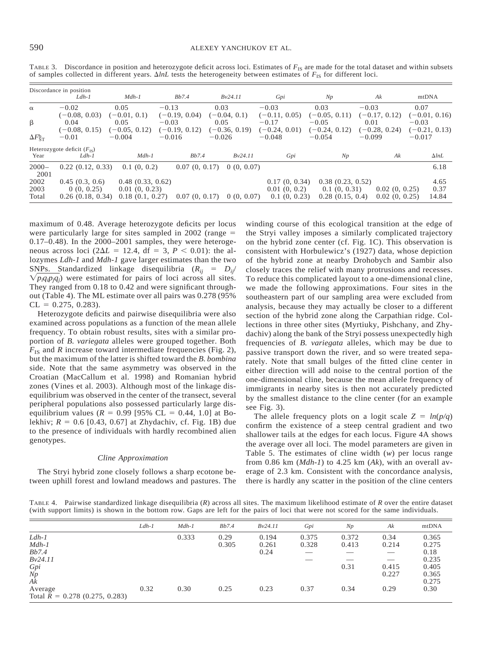|  |  | TABLE 3. Discordance in position and heterozygote deficit across loci. Estimates of $F_{15}$ are made for the total dataset and within subsets |  |  |  |  |
|--|--|------------------------------------------------------------------------------------------------------------------------------------------------|--|--|--|--|
|  |  | of samples collected in different years. $\Delta lnL$ tests the heterogeneity between estimates of $F_{IS}$ for different loci.                |  |  |  |  |

|                             | Discordance in position<br>$Ldh-1$ | $Mdh-1$          | Bb7.4           | Bv24.11         | Gpi             | Np               | Ak              | mtDNA           |
|-----------------------------|------------------------------------|------------------|-----------------|-----------------|-----------------|------------------|-----------------|-----------------|
|                             | $-0.02$                            | 0.05             | $-0.13$         | 0.03            | $-0.03$         | 0.03             | $-0.03$         | 0.07            |
| $\alpha$                    | $(-0.08, 0.03)$                    | $(-0.01, 0.1)$   | $(-0.19, 0.04)$ | $(-0.04, 0.1)$  | $(-0.11, 0.05)$ | $(-0.05, 0.11)$  | $(-0.17, 0.12)$ | $(-0.01, 0.16)$ |
| β                           | 0.04                               | 0.05             | $-0.03$         | 0.05            | $-0.17$         | $-0.05$          | 0.01            | $-0.03$         |
|                             | $(-0.08, 0.15)$                    | $(-0.05, 0.12)$  | $(-0.19, 0.12)$ | $(-0.36, 0.19)$ | $(-0.24, 0.01)$ | $(-0.24, 0.12)$  | $(-0.28, 0.24)$ | $(-0.21, 0.13)$ |
| $\Delta F_{\rm ST}^{\rm b}$ | $-0.01$                            | $-0.004$         | $-0.016$        | $-0.026$        | $-0.048$        | $-0.054$         | $-0.099$        | $-0.017$        |
|                             | Heterozygote deficit $(F_{IS})$    |                  |                 |                 |                 |                  |                 |                 |
| Year                        | $Ldh-1$                            | $Mdh-1$          | Bb7.4           | Bv24.11         | Gpi             | Np               | Ak              | $\Delta lnL$    |
| $2000 -$                    | 0.22(0.12, 0.33)                   | 0.1(0, 0.2)      | 0.07(0, 0.17)   | 0(0, 0.07)      |                 |                  |                 | 6.18            |
| 2001<br>2002                | 0.45(0.3, 0.6)                     | 0.48(0.33, 0.62) |                 |                 | 0.17(0, 0.34)   | 0.38(0.23, 0.52) |                 | 4.65            |
| 2003                        | 0(0, 0.25)                         | 0.01(0, 0.23)    |                 |                 | 0.01(0, 0.2)    | 0.1(0, 0.31)     | 0.02(0, 0.25)   | 0.37            |
| Total                       | 0.26(0.18, 0.34)                   | 0.18(0.1, 0.27)  | 0.07(0, 0.17)   | 0(0, 0.07)      | 0.1(0, 0.23)    | 0.28(0.15, 0.4)  | 0.02(0, 0.25)   | 14.84           |

maximum of 0.48. Average heterozygote deficits per locus were particularly large for sites sampled in 2002 (range  $=$  $0.17-0.48$ ). In the  $2000-2001$  samples, they were heterogeneous across loci ( $2\Delta L = 12.4$ , df = 3, *P* < 0.01): the allozymes *Ldh-1* and *Mdh-1* gave larger estimates than the two SNPs. Standardized linkage disequilibria  $(R_{ii} = D_{ii}/$  $\sqrt{p_i q_i p_i q_i}$  were estimated for pairs of loci across all sites. They ranged from 0.18 to 0.42 and were significant throughout (Table 4). The ML estimate over all pairs was 0.278 (95%  $CL = 0.275, 0.283$ .

Heterozygote deficits and pairwise disequilibria were also examined across populations as a function of the mean allele frequency. To obtain robust results, sites with a similar proportion of *B. variegata* alleles were grouped together. Both  $F_{IS}$  and *R* increase toward intermediate frequencies (Fig. 2), but the maximum of the latter is shifted toward the *B. bombina* side. Note that the same asymmetry was observed in the Croatian (MacCallum et al. 1998) and Romanian hybrid zones (Vines et al. 2003). Although most of the linkage disequilibrium was observed in the center of the transect, several peripheral populations also possessed particularly large disequilibrium values ( $R = 0.99$  [95% CL = 0.44, 1.0] at Bolekhiv;  $R = 0.6$  [0.43, 0.67] at Zhydachiv, cf. Fig. 1B) due to the presence of individuals with hardly recombined alien genotypes.

# *Cline Approximation*

The Stryi hybrid zone closely follows a sharp ecotone between uphill forest and lowland meadows and pastures. The winding course of this ecological transition at the edge of the Stryi valley imposes a similarly complicated trajectory on the hybrid zone center (cf. Fig. 1C). This observation is consistent with Horbulewicz's (1927) data, whose depiction of the hybrid zone at nearby Drohobych and Sambir also closely traces the relief with many protrusions and recesses. To reduce this complicated layout to a one-dimensional cline, we made the following approximations. Four sites in the southeastern part of our sampling area were excluded from analysis, because they may actually be closer to a different section of the hybrid zone along the Carpathian ridge. Collections in three other sites (Myrtiuky, Pishchany, and Zhydachiv) along the bank of the Stryi possess unexpectedly high frequencies of *B. variegata* alleles, which may be due to passive transport down the river, and so were treated separately. Note that small bulges of the fitted cline center in either direction will add noise to the central portion of the one-dimensional cline, because the mean allele frequency of immigrants in nearby sites is then not accurately predicted by the smallest distance to the cline center (for an example see Fig. 3).

The allele frequency plots on a logit scale  $Z = ln(p/q)$ confirm the existence of a steep central gradient and two shallower tails at the edges for each locus. Figure 4A shows the average over all loci. The model parameters are given in Table 5. The estimates of cline width (*w*) per locus range from 0.86 km (*Mdh-1*) to 4.25 km (*Ak*), with an overall average of 2.3 km. Consistent with the concordance analysis, there is hardly any scatter in the position of the cline centers

TABLE 4. Pairwise standardized linkage disequilibria (*R*) across all sites. The maximum likelihood estimate of *R* over the entire dataset (with support limits) is shown in the bottom row. Gaps are left for the pairs of loci that were not scored for the same individuals.

|                                                                   | $Ldh-1$ | $Mdh-1$ | Bb7.4         | Bv24.11                | Gpi                 | Np                     | Ak                                           | mtDNA                                                      |
|-------------------------------------------------------------------|---------|---------|---------------|------------------------|---------------------|------------------------|----------------------------------------------|------------------------------------------------------------|
| $Ldh-1$<br>$Mdh-1$<br>Bb7.4<br>Bv24.11<br>$G\!pi$<br>$N\!p$<br>Ak |         | 0.333   | 0.29<br>0.305 | 0.194<br>0.261<br>0.24 | 0.375<br>0.328<br>_ | 0.372<br>0.413<br>0.31 | 0.34<br>0.214<br>$-$<br>__<br>0.415<br>0.227 | 0.365<br>0.275<br>0.18<br>0.235<br>0.405<br>0.365<br>0.275 |
| Average<br>Total $R = 0.278$ (0.275, 0.283)                       | 0.32    | 0.30    | 0.25          | 0.23                   | 0.37                | 0.34                   | 0.29                                         | 0.30                                                       |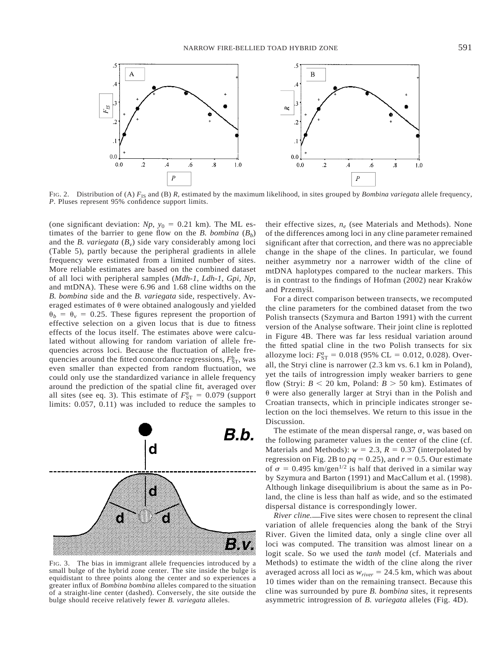

FIG. 2. Distribution of (A)  $F_{1S}$  and (B) *R*, estimated by the maximum likelihood, in sites grouped by *Bombina variegata* allele frequency, *P*. Pluses represent 95% confidence support limits.

(one significant deviation:  $Np$ ,  $y_0 = 0.21$  km). The ML estimates of the barrier to gene flow on the *B. bombina*  $(B<sub>b</sub>)$ and the *B. variegata*  $(B_v)$  side vary considerably among loci (Table 5), partly because the peripheral gradients in allele frequency were estimated from a limited number of sites. More reliable estimates are based on the combined dataset of all loci with peripheral samples (*Mdh-1*, *Ldh-1*, *Gpi*, *Np*, and mtDNA). These were 6.96 and 1.68 cline widths on the *B. bombina* side and the *B. variegata* side, respectively. Averaged estimates of  $\theta$  were obtained analogously and yielded  $\theta_b = \theta_v = 0.25$ . These figures represent the proportion of effective selection on a given locus that is due to fitness effects of the locus itself. The estimates above were calculated without allowing for random variation of allele frequencies across loci. Because the fluctuation of allele frequencies around the fitted concordance regressions,  $F_{ST}^b$ , was even smaller than expected from random fluctuation, we could only use the standardized variance in allele frequency around the prediction of the spatial cline fit, averaged over all sites (see eq. 3). This estimate of  $F_{ST}^a = 0.079$  (support limits: 0.057, 0.11) was included to reduce the samples to



FIG. 3. The bias in immigrant allele frequencies introduced by a small bulge of the hybrid zone center. The site inside the bulge is equidistant to three points along the center and so experiences a greater influx of *Bombina bombina* alleles compared to the situation of a straight-line center (dashed). Conversely, the site outside the bulge should receive relatively fewer *B. variegata* alleles.

their effective sizes,  $n_e$  (see Materials and Methods). None of the differences among loci in any cline parameter remained significant after that correction, and there was no appreciable change in the shape of the clines. In particular, we found neither asymmetry nor a narrower width of the cline of mtDNA haplotypes compared to the nuclear markers. This is in contrast to the findings of Hofman (2002) near Kraków and Przemyśl.

For a direct comparison between transects, we recomputed the cline parameters for the combined dataset from the two Polish transects (Szymura and Barton 1991) with the current version of the Analyse software. Their joint cline is replotted in Figure 4B. There was far less residual variation around the fitted spatial cline in the two Polish transects for six allozyme loci:  $F_{ST}^a = 0.018$  (95% CL = 0.012, 0.028). Overall, the Stryi cline is narrower (2.3 km vs. 6.1 km in Poland), yet the tails of introgression imply weaker barriers to gene flow (Stryi:  $B < 20$  km, Poland:  $B > 50$  km). Estimates of  $\theta$  were also generally larger at Stryi than in the Polish and Croatian transects, which in principle indicates stronger selection on the loci themselves. We return to this issue in the Discussion.

The estimate of the mean dispersal range,  $\sigma$ , was based on the following parameter values in the center of the cline (cf. Materials and Methods):  $w = 2.3$ ,  $R = 0.37$  (interpolated by regression on Fig. 2B to  $pq = 0.25$ ), and  $r = 0.5$ . Our estimate of  $\sigma = 0.495$  km/gen<sup>1/2</sup> is half that derived in a similar way by Szymura and Barton (1991) and MacCallum et al. (1998). Although linkage disequilibrium is about the same as in Poland, the cline is less than half as wide, and so the estimated dispersal distance is correspondingly lower.

*River cline.* Five sites were chosen to represent the clinal variation of allele frequencies along the bank of the Stryi River. Given the limited data, only a single cline over all loci was computed. The transition was almost linear on a logit scale. So we used the *tanh* model (cf. Materials and Methods) to estimate the width of the cline along the river averaged across all loci as  $w_{river} = 24.5$  km, which was about 10 times wider than on the remaining transect. Because this cline was surrounded by pure *B. bombina* sites, it represents asymmetric introgression of *B. variegata* alleles (Fig. 4D).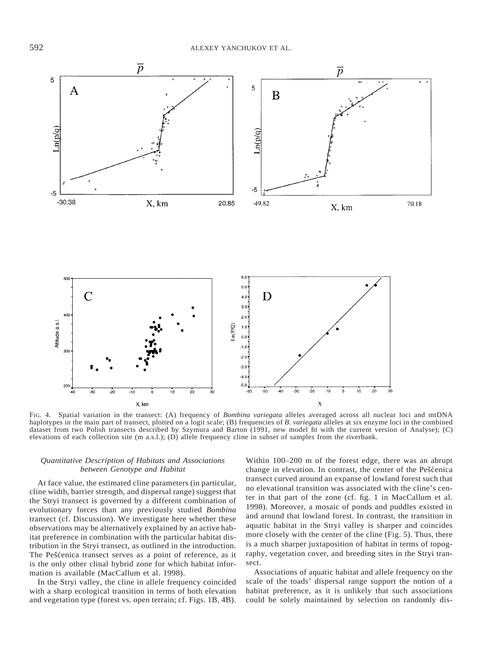

FIG. 4. Spatial variation in the transect: (A) frequency of *Bombina variegata* alleles averaged across all nuclear loci and mtDNA haplotypes in the main part of transect, plotted on a logit scale; (B) frequencies of *B. variegata* alleles at six enzyme loci in the combined dataset from two Polish transects described by Szymura and Barton (1991, new model fit with the current version of Analyse); (C) elevations of each collection site (m a.s.l.); (D) allele frequency cline in subset of samples from the riverbank.

# *Quantitative Description of Habitats and Associations between Genotype and Habitat*

At face value, the estimated cline parameters (in particular, cline width, barrier strength, and dispersal range) suggest that the Stryi transect is governed by a different combination of evolutionary forces than any previously studied *Bombina* transect (cf. Discussion). We investigate here whether these observations may be alternatively explained by an active habitat preference in combination with the particular habitat distribution in the Stryi transect, as outlined in the introduction. The Pešćenica transect serves as a point of reference, as it is the only other clinal hybrid zone for which habitat information is available (MacCallum et al. 1998).

In the Stryi valley, the cline in allele frequency coincided with a sharp ecological transition in terms of both elevation and vegetation type (forest vs. open terrain; cf. Figs. 1B, 4B).

Within 100–200 m of the forest edge, there was an abrupt change in elevation. In contrast, the center of the Pešćenica transect curved around an expanse of lowland forest such that no elevational transition was associated with the cline's center in that part of the zone (cf. fig. 1 in MacCallum et al. 1998). Moreover, a mosaic of ponds and puddles existed in and around that lowland forest. In contrast, the transition in aquatic habitat in the Stryi valley is sharper and coincides more closely with the center of the cline (Fig. 5). Thus, there is a much sharper juxtaposition of habitat in terms of topography, vegetation cover, and breeding sites in the Stryi transect.

Associations of aquatic habitat and allele frequency on the scale of the toads' dispersal range support the notion of a habitat preference, as it is unlikely that such associations could be solely maintained by selection on randomly dis-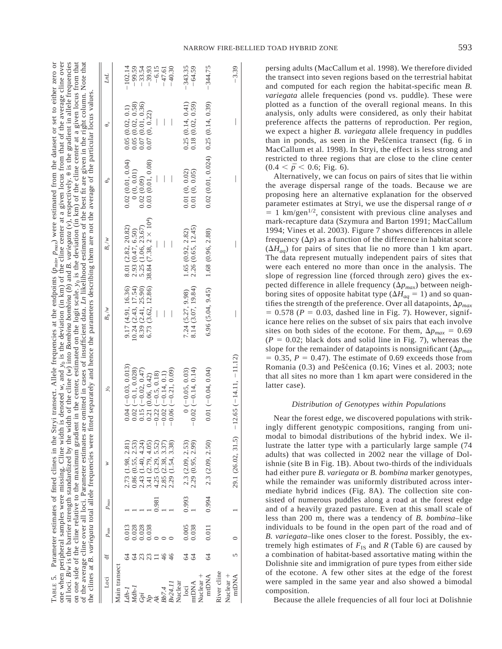| Loci                                              |    | $P_{min}$                        | $p_{\mathit{max}}$ |                                                                                                                                                                                                            | $\geqslant$                                                                                                                                                  | $B_b/w$                                | $B_{\scriptscriptstyle V}/w$              | $\mathbf{\hat{e}}_b$ | $\mathbf{e}^{\mathbf{y}}$                                                                                            | LnL       |
|---------------------------------------------------|----|----------------------------------|--------------------|------------------------------------------------------------------------------------------------------------------------------------------------------------------------------------------------------------|--------------------------------------------------------------------------------------------------------------------------------------------------------------|----------------------------------------|-------------------------------------------|----------------------|----------------------------------------------------------------------------------------------------------------------|-----------|
| Main transect                                     |    |                                  |                    |                                                                                                                                                                                                            |                                                                                                                                                              |                                        |                                           |                      |                                                                                                                      |           |
| Ldh-1                                             |    |                                  |                    |                                                                                                                                                                                                            | $0.04 (-0.03, 0.013)$                                                                                                                                        | 9.17 (4.91, 16.36)                     | 8.01 (2.82, 20.82)                        | 0.02(0.01, 0.04)     |                                                                                                                      | $-102.14$ |
|                                                   |    |                                  |                    |                                                                                                                                                                                                            |                                                                                                                                                              | 10.24(2.43, 17.54)                     |                                           | 0(0, 0.01)           |                                                                                                                      | $-99.59$  |
| $\begin{array}{c} Mdh\text{-}I\\ Gpi \end{array}$ |    | 0.013<br>0.028<br>0.038<br>0.038 |                    | $\begin{array}{c} 2.73 \ (1.98,\, 2.81) \\ 0.86 \ (0.55,\, 2.53) \\ 2.43 \ (1.40,\, 4.24) \\ 3.41 \ (2.79,\, 4.05) \\ 3.57 \ (2.38,\, 3.37) \\ 2.85 \ (2.38,\, 3.37) \\ 2.28 \ (1.54,\, 3.38) \end{array}$ | $\begin{array}{l} 0.02 \ (-0.1, \ 0.028) \\ 0.15 \ (-0.02, \ 0.47) \\ 0.21 \ (0.06, \ 0.42) \\ -0.22 \ (-0.5, \ 0.18) \\ -0.02 \ (-0.14, \ 0.1) \end{array}$ | 8.39 (2.41, 25.90)                     | $2.93$ (0.47, 6.50)<br>5.25 (1.06, 23.67) | 0.02(0.09)           | $\begin{array}{c} 0.05\ (0.02,\, 0.1)\\ 0.05\ (0.02,\, 0.58)\\ 0.07\ (0.01,\, 0.36)\\ 0.07\ (0,\, 0.22) \end{array}$ | $-33.54$  |
| y<br>4x                                           |    |                                  |                    |                                                                                                                                                                                                            |                                                                                                                                                              | 6.73 (3.62, 12.86)                     | 38.84 (7.38, 2 $\times$ 10 <sup>4</sup> ) | 0.03(0.01, 0.08)     |                                                                                                                      | $-39.93$  |
|                                                   |    |                                  | 0.981              |                                                                                                                                                                                                            |                                                                                                                                                              |                                        |                                           |                      |                                                                                                                      | $-6.15$   |
|                                                   |    |                                  |                    |                                                                                                                                                                                                            |                                                                                                                                                              |                                        |                                           | I                    | I                                                                                                                    | $-47.61$  |
| $Bb7.4$<br>$Bv24.11$<br>Nuclear<br>loci           |    |                                  |                    | (1.54, )                                                                                                                                                                                                   | $-0.06(-0.21, 0.09)$                                                                                                                                         |                                        |                                           |                      |                                                                                                                      | $-40.30$  |
|                                                   |    |                                  |                    |                                                                                                                                                                                                            |                                                                                                                                                              |                                        |                                           |                      |                                                                                                                      |           |
|                                                   | 64 |                                  | 0.993              |                                                                                                                                                                                                            | $0(-0.05, 0.03)$                                                                                                                                             | 7.24 (5.27, 9.98)                      | 1.65 (0.92, 2.82)                         | 0.01(0, 0.02)        | 0.25(0.14, 0.41)                                                                                                     | $-343.35$ |
| mtDNA                                             | 64 | 0.005                            |                    | $2.3$ (2.09, 2.53)<br>$2.29$ (0.95, 2.99)                                                                                                                                                                  | $-0.02(-0.14, 0.14)$                                                                                                                                         | 8.14 (3.07, 19.84)                     | 2.26 (0.65, 12.45)                        | 0.01(0, 0.05)        | $0.18\ (0.02,\,0.59)$                                                                                                | $-64.59$  |
| $Nuclear +$                                       |    |                                  |                    |                                                                                                                                                                                                            |                                                                                                                                                              |                                        |                                           |                      |                                                                                                                      |           |
| mtDNA                                             |    | 0.011                            | 1,994              | 2.3 (2.09, 2.50)                                                                                                                                                                                           | $0.01 (-0.04, 0.04)$                                                                                                                                         | $6.96(5.04, 9.45)$ 1.68 $(0.96, 2.88)$ |                                           |                      | $0.02(0.01, 0.024)$ $0.25(0.14, 0.39)$                                                                               | $-344.75$ |
| River cline                                       |    |                                  |                    |                                                                                                                                                                                                            |                                                                                                                                                              |                                        |                                           |                      |                                                                                                                      |           |
| $Nuclear +$                                       |    |                                  |                    |                                                                                                                                                                                                            |                                                                                                                                                              |                                        |                                           |                      |                                                                                                                      |           |
| mtDNA                                             |    |                                  |                    | 29.1 (26.02, 31.5)                                                                                                                                                                                         | $-12.65(-14.11, -11.12)$                                                                                                                                     |                                        |                                           |                      |                                                                                                                      | $-3.39$   |

persing adults (MacCallum et al. 1998). We therefore divided the transect into seven regions based on the terrestrial habitat and computed for each region the habitat-specific mean *B. variegata* allele frequencies (pond vs. puddle). These were plotted as a function of the overall regional means. In this analysis, only adults were considered, as only their habitat preference affects the patterns of reproduction. Per region, we expect a higher *B. variegata* allele frequency in puddles than in ponds, as seen in the Pešćenica transect (fig. 6 in MacCallum et al. 1998). In Stryi, the effect is less strong and restricted to three regions that are close to the cline center  $(0.4 < \bar{p} < 0.6;$  Fig. 6).

Alternatively, we can focus on pairs of sites that lie within the average dispersal range of the toads. Because we are proposing here an alternative explanation for the observed parameter estimates at Stryi, we use the dispersal range of  $\sigma$  $= 1$  km/gen<sup>1/2</sup>, consistent with previous cline analyses and mark-recapture data (Szymura and Barton 1991; MacCallum 1994; Vines et al. 2003). Figure 7 shows differences in allele frequency  $(\Delta p)$  as a function of the difference in habitat score  $(\Delta H_{aa})$  for pairs of sites that lie no more than 1 km apart. The data represent mutually independent pairs of sites that were each entered no more than once in the analysis. The slope of regression line (forced through zero) gives the expected difference in allele frequency  $(\Delta p_{max})$  between neighboring sites of opposite habitat type ( $\Delta H_{aq} = 1$ ) and so quantifies the strength of the preference. Over all datapoints,  $\Delta p_{max}$  $= 0.578$  ( $P = 0.03$ , dashed line in Fig. 7). However, significance here relies on the subset of six pairs that each involve sites on both sides of the ecotone. For them,  $\Delta p_{max} = 0.69$  $(P = 0.02$ ; black dots and solid line in Fig. 7), whereas the slope for the remainder of datapoints is nonsignificant  $(\Delta p_{max})$  $= 0.35, P = 0.47$ . The estimate of 0.69 exceeds those from Romania (0.3) and Pešćenica (0.16; Vines et al. 2003; note that all sites no more than 1 km apart were considered in the latter case).

# *Distribution of Genotypes within Populations*

Near the forest edge, we discovered populations with strikingly different genotypic compositions, ranging from unimodal to bimodal distributions of the hybrid index. We illustrate the latter type with a particularly large sample (74 adults) that was collected in 2002 near the village of Dolishnie (site B in Fig. 1B). About two-thirds of the individuals had either pure *B. variegata* or *B. bombina* marker genotypes, while the remainder was uniformly distributed across intermediate hybrid indices (Fig. 8A). The collection site consisted of numerous puddles along a road at the forest edge and of a heavily grazed pasture. Even at this small scale of less than 200 m, there was a tendency of *B. bombina*–like individuals to be found in the open part of the road and of *B. variegata*–like ones closer to the forest. Possibly, the extremely high estimates of  $F_{IS}$  and  $R$  (Table 6) are caused by a combination of habitat-based assortative mating within the Dolishnie site and immigration of pure types from either side of the ecotone. A few other sites at the edge of the forest were sampled in the same year and also showed a bimodal composition.

Because the allele frequencies of all four loci at Dolishnie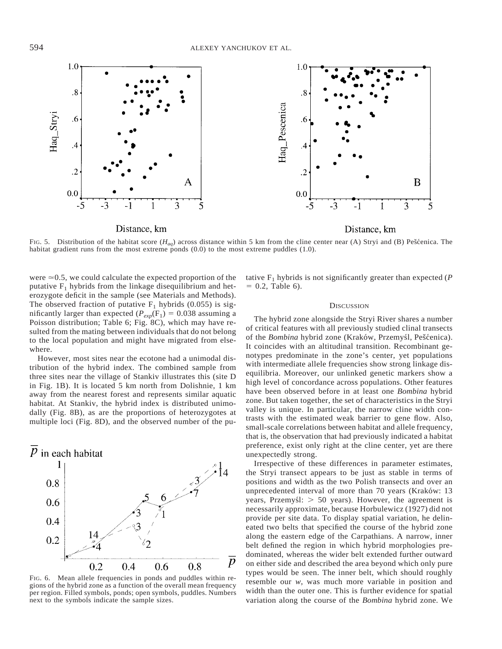

FIG. 5. Distribution of the habitat score  $(H_{aa})$  across distance within 5 km from the cline center near (A) Stryi and (B) Pešćenica. The habitat gradient runs from the most extreme ponds  $(0.0)$  to the most extreme puddles  $(1.0)$ .

were  $\approx 0.5$ , we could calculate the expected proportion of the putative  $F_1$  hybrids from the linkage disequilibrium and heterozygote deficit in the sample (see Materials and Methods). The observed fraction of putative  $F_1$  hybrids (0.055) is significantly larger than expected  $(P_{exp}(F_1) = 0.038$  assuming a Poisson distribution; Table 6; Fig. 8C), which may have resulted from the mating between individuals that do not belong to the local population and might have migrated from elsewhere.

However, most sites near the ecotone had a unimodal distribution of the hybrid index. The combined sample from three sites near the village of Stankiv illustrates this (site D in Fig. 1B). It is located 5 km north from Dolishnie, 1 km away from the nearest forest and represents similar aquatic habitat. At Stankiv, the hybrid index is distributed unimodally (Fig. 8B), as are the proportions of heterozygotes at multiple loci (Fig. 8D), and the observed number of the pu-



FIG. 6. Mean allele frequencies in ponds and puddles within regions of the hybrid zone as a function of the overall mean frequency per region. Filled symbols, ponds; open symbols, puddles. Numbers next to the symbols indicate the sample sizes.

tative  $F_1$  hybrids is not significantly greater than expected ( $P$  $= 0.2$ , Table 6).

# **DISCUSSION**

The hybrid zone alongside the Stryi River shares a number of critical features with all previously studied clinal transects of the *Bombina* hybrid zone (Kraków, Przemyśl, Pešćenica). It coincides with an altitudinal transition. Recombinant genotypes predominate in the zone's center, yet populations with intermediate allele frequencies show strong linkage disequilibria. Moreover, our unlinked genetic markers show a high level of concordance across populations. Other features have been observed before in at least one *Bombina* hybrid zone. But taken together, the set of characteristics in the Stryi valley is unique. In particular, the narrow cline width contrasts with the estimated weak barrier to gene flow. Also, small-scale correlations between habitat and allele frequency, that is, the observation that had previously indicated a habitat preference, exist only right at the cline center, yet are there unexpectedly strong.

Irrespective of these differences in parameter estimates, the Stryi transect appears to be just as stable in terms of positions and width as the two Polish transects and over an unprecedented interval of more than 70 years (Kraków: 13 years, Przemyśl:  $> 50$  years). However, the agreement is necessarily approximate, because Horbulewicz (1927) did not provide per site data. To display spatial variation, he delineated two belts that specified the course of the hybrid zone along the eastern edge of the Carpathians. A narrow, inner belt defined the region in which hybrid morphologies predominated, whereas the wider belt extended further outward on either side and described the area beyond which only pure types would be seen. The inner belt, which should roughly resemble our *w*, was much more variable in position and width than the outer one. This is further evidence for spatial variation along the course of the *Bombina* hybrid zone. We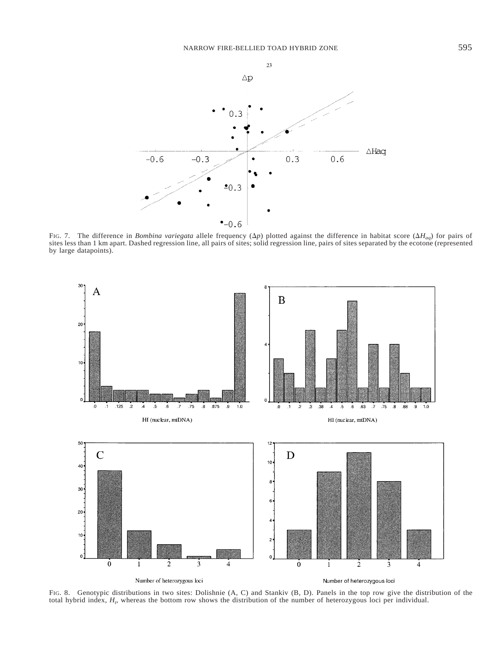

Fig. 7. The difference in *Bombina variegata* allele frequency ( $\Delta p$ ) plotted against the difference in habitat score ( $\Delta H_{aq}$ ) for pairs of sites less than 1 km apart. Dashed regression line, all pairs of sites; solid by large datapoints).



FIG. 8. Genotypic distributions in two sites: Dolishnie (A, C) and Stankiv (B, D). Panels in the top row give the distribution of the total hybrid index, *Ht*, whereas the bottom row shows the distribution of the number of heterozygous loci per individual.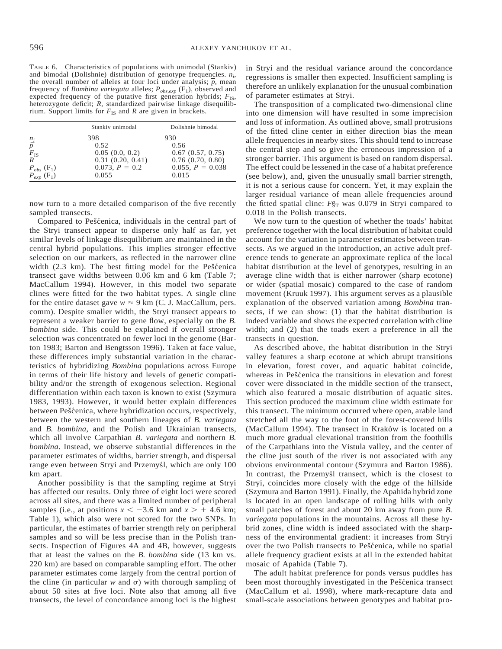TABLE 6. Characteristics of populations with unimodal (Stankiv) and bimodal (Dolishnie) distribution of genotype frequencies. *ni*, the overall number of alleles at four loci under analysis;  $\overline{p}$ , mean frequency of *Bombina variegata* alleles;  $P_{obs,exp}$  (F<sub>1</sub>), observed and expected frequency of the putative first generation hybrids;  $F_{IS}$ , heterozygote deficit; *R*, standardized pairwise linkage disequilibrium. Support limits for  $F_{IS}$  and  $R$  are given in brackets.

|                             | Stankiv unimodal | Dolishnie bimodal     |
|-----------------------------|------------------|-----------------------|
| $n_i$                       | 398              | 930                   |
| $\bar{p}$                   | 0.52             | 0.56                  |
| $F_{\rm IS}$                | 0.05(0.0, 0.2)   | $0.67$ $(0.57, 0.75)$ |
| R                           | 0.31(0.20, 0.41) | $0.76$ $(0.70, 0.80)$ |
| $P_{obs}$ (F <sub>1</sub> ) | $0.073, P = 0.2$ | 0.055, $P = 0.038$    |
| $P_{exp}$ (F <sub>1</sub> ) | 0.055            | 0.015                 |

now turn to a more detailed comparison of the five recently sampled transects.

Compared to Pešćenica, individuals in the central part of the Stryi transect appear to disperse only half as far, yet similar levels of linkage disequilibrium are maintained in the central hybrid populations. This implies stronger effective selection on our markers, as reflected in the narrower cline width (2.3 km). The best fitting model for the Pešćenica transect gave widths between 0.06 km and 6 km (Table 7; MacCallum 1994). However, in this model two separate clines were fitted for the two habitat types. A single cline for the entire dataset gave  $w \approx 9$  km (C. J. MacCallum, pers. comm). Despite smaller width, the Stryi transect appears to represent a weaker barrier to gene flow, especially on the *B. bombina* side. This could be explained if overall stronger selection was concentrated on fewer loci in the genome (Barton 1983; Barton and Bengtsson 1996). Taken at face value, these differences imply substantial variation in the characteristics of hybridizing *Bombina* populations across Europe in terms of their life history and levels of genetic compatibility and/or the strength of exogenous selection. Regional differentiation within each taxon is known to exist (Szymura 1983, 1993). However, it would better explain differences between Pešćenica, where hybridization occurs, respectively, between the western and southern lineages of *B. variegata* and *B. bombina*, and the Polish and Ukrainian transects, which all involve Carpathian *B. variegata* and northern *B. bombina*. Instead, we observe substantial differences in the parameter estimates of widths, barrier strength, and dispersal range even between Stryi and Przemyśl, which are only 100 km apart.

Another possibility is that the sampling regime at Stryi has affected our results. Only three of eight loci were scored across all sites, and there was a limited number of peripheral samples (i.e., at positions  $x < -3.6$  km and  $x > +4.6$  km; Table 1), which also were not scored for the two SNPs. In particular, the estimates of barrier strength rely on peripheral samples and so will be less precise than in the Polish transects. Inspection of Figures 4A and 4B, however, suggests that at least the values on the *B. bombina* side (13 km vs. 220 km) are based on comparable sampling effort. The other parameter estimates come largely from the central portion of the cline (in particular *w* and  $\sigma$ ) with thorough sampling of about 50 sites at five loci. Note also that among all five transects, the level of concordance among loci is the highest

in Stryi and the residual variance around the concordance regressions is smaller then expected. Insufficient sampling is therefore an unlikely explanation for the unusual combination of parameter estimates at Stryi.

The transposition of a complicated two-dimensional cline into one dimension will have resulted in some imprecision and loss of information. As outlined above, small protrusions of the fitted cline center in either direction bias the mean allele frequencies in nearby sites. This should tend to increase the central step and so give the erroneous impression of a stronger barrier. This argument is based on random dispersal. The effect could be lessened in the case of a habitat preference (see below), and, given the unusually small barrier strength, it is not a serious cause for concern. Yet, it may explain the larger residual variance of mean allele frequencies around the fitted spatial cline:  $F_{ST}^a$  was 0.079 in Stryi compared to 0.018 in the Polish transects.

We now turn to the question of whether the toads' habitat preference together with the local distribution of habitat could account for the variation in parameter estimates between transects. As we argued in the introduction, an active adult preference tends to generate an approximate replica of the local habitat distribution at the level of genotypes, resulting in an average cline width that is either narrower (sharp ecotone) or wider (spatial mosaic) compared to the case of random movement (Kruuk 1997). This argument serves as a plausible explanation of the observed variation among *Bombina* transects, if we can show: (1) that the habitat distribution is indeed variable and shows the expected correlation with cline width; and (2) that the toads exert a preference in all the transects in question.

As described above, the habitat distribution in the Stryi valley features a sharp ecotone at which abrupt transitions in elevation, forest cover, and aquatic habitat coincide, whereas in Pešćenica the transitions in elevation and forest cover were dissociated in the middle section of the transect, which also featured a mosaic distribution of aquatic sites. This section produced the maximum cline width estimate for this transect. The minimum occurred where open, arable land stretched all the way to the foot of the forest-covered hills (MacCallum 1994). The transect in Kraków is located on a much more gradual elevational transition from the foothills of the Carpathians into the Vistula valley, and the center of the cline just south of the river is not associated with any obvious environmental contour (Szymura and Barton 1986). In contrast, the Przemyśl transect, which is the closest to Stryi, coincides more closely with the edge of the hillside (Szymura and Barton 1991). Finally, the Apahida hybrid zone is located in an open landscape of rolling hills with only small patches of forest and about 20 km away from pure *B. variegata* populations in the mountains. Across all these hybrid zones, cline width is indeed associated with the sharpness of the environmental gradient: it increases from Stryi over the two Polish transects to Pešćenica, while no spatial allele frequency gradient exists at all in the extended habitat mosaic of Apahida (Table 7).

The adult habitat preference for ponds versus puddles has been most thoroughly investigated in the Pešćenica transect (MacCallum et al. 1998), where mark-recapture data and small-scale associations between genotypes and habitat pro-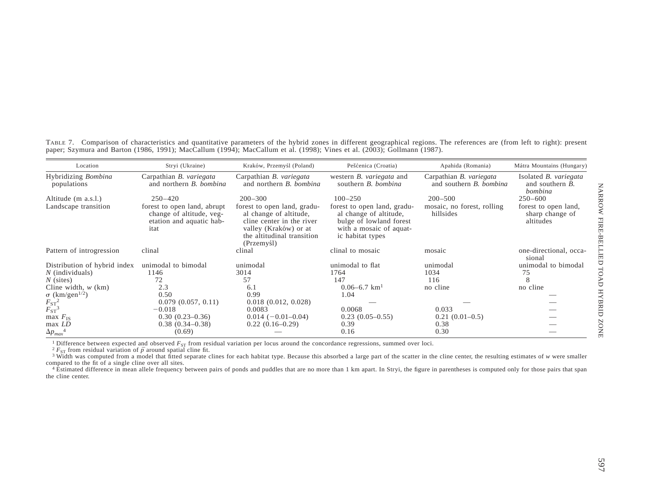TABLE 7. Comparison of characteristics and quantitative parameters of the hybrid zones in different geographical regions. The references are (from left to right): presen<sup>t</sup> paper; Szymura and Barton (1986, 1991); MacCallum (1994); MacCallum et al. (1998); Vines et al. (2003); Gollmann (1987).

| Location                           | Stryi (Ukraine)                                                                             | Kraków, Przemyśl (Poland)                                                                                                                               | Pešćenica (Croatia)                                                                                                             | Apahida (Romania)                                         | Mátra Mountains (Hungary)                                   |
|------------------------------------|---------------------------------------------------------------------------------------------|---------------------------------------------------------------------------------------------------------------------------------------------------------|---------------------------------------------------------------------------------------------------------------------------------|-----------------------------------------------------------|-------------------------------------------------------------|
| Hybridizing Bombina<br>populations | Carpathian B. variegata<br>and northern <i>B. bombina</i>                                   | Carpathian B. variegata<br>and northern <i>B. bombina</i>                                                                                               | western <i>B. variegata</i> and<br>southern <i>B. bombina</i>                                                                   | Carpathian B. variegata<br>and southern <i>B. bombina</i> | Isolated B. variegata<br>and southern <i>B</i> .<br>bombina |
| Altitude (m a.s.l.)                | $250 - 420$                                                                                 | $200 - 300$                                                                                                                                             | $100 - 250$                                                                                                                     | $200 - 500$                                               | $250 - 600$                                                 |
| Landscape transition               | forest to open land, abrupt<br>change of altitude, veg-<br>etation and aquatic hab-<br>itat | forest to open land, gradu-<br>al change of altitude,<br>cline center in the river<br>valley (Kraków) or at<br>the altitudinal transition<br>(Przemyśl) | forest to open land, gradu-<br>al change of altitude,<br>bulge of lowland forest<br>with a mosaic of aquat-<br>ic habitat types | mosaic, no forest, rolling<br>hillsides                   | forest to open land,<br>sharp change of<br>altitudes        |
| Pattern of introgression           | clinal                                                                                      | clinal                                                                                                                                                  | clinal to mosaic                                                                                                                | mosaic                                                    | one-directional, occa-<br>sional                            |
| Distribution of hybrid index       | unimodal to bimodal                                                                         | unimodal                                                                                                                                                | unimodal to flat                                                                                                                | unimodal                                                  | unimodal to bimodal                                         |
| $N$ (individuals)                  | 1146                                                                                        | 3014                                                                                                                                                    | 1764                                                                                                                            | 1034                                                      | 75                                                          |
| $N$ (sites)                        | 72                                                                                          | 57                                                                                                                                                      | 147                                                                                                                             | 116                                                       | 8                                                           |
| Cline width, $w$ (km)              | 2.3                                                                                         | 6.1                                                                                                                                                     | $0.06 - 6.7$ km <sup>1</sup>                                                                                                    | no cline                                                  | no cline                                                    |
| $\sigma$ (km/gen <sup>1/2</sup> )  | 0.50                                                                                        | 0.99                                                                                                                                                    | 1.04                                                                                                                            |                                                           |                                                             |
| $F_{ST}^2$                         | 0.079(0.057, 0.11)                                                                          | $0.018$ $(0.012, 0.028)$                                                                                                                                |                                                                                                                                 |                                                           |                                                             |
| $F_{ST}^3$                         | $-0.018$                                                                                    | 0.0083                                                                                                                                                  | 0.0068                                                                                                                          | 0.033                                                     |                                                             |
| $max$ $F_{IS}$                     | $0.30(0.23 - 0.36)$                                                                         | $0.014(-0.01-0.04)$                                                                                                                                     | $0.23(0.05-0.55)$                                                                                                               | $0.21(0.01-0.5)$                                          |                                                             |
| max LD                             | $0.38(0.34 - 0.38)$                                                                         | $0.22(0.16-0.29)$                                                                                                                                       | 0.39                                                                                                                            | 0.38                                                      |                                                             |
| $\Delta p_{max}$                   | (0.69)                                                                                      |                                                                                                                                                         | 0.16                                                                                                                            | 0.30                                                      |                                                             |

<sup>1</sup> Difference between expected and observed  $F_{ST}$  from residual variation per locus around the concordance regressions, summed over loci.

 ${}^{2}F_{ST}$  from residual variation of  $\bar{p}$  around spatial cline fit.<br><sup>3</sup> Width was computed from a model that fitted separate clines for each habitat type. Because this absorbed a large part of the scatter in the cline compared to the fit of a single cline over all sites.

<sup>4</sup> Estimated difference in mean allele frequency between pairs of ponds and puddles that are no more than 1 km apart. In Stryi, the figure in parentheses is computed only for those pairs that span the cline center.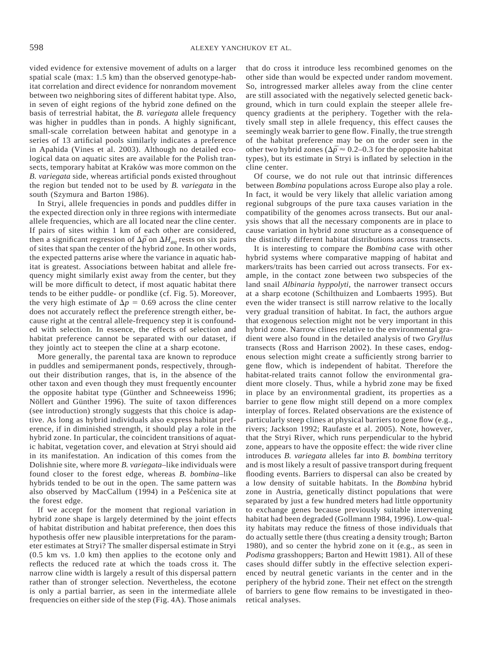vided evidence for extensive movement of adults on a larger spatial scale (max: 1.5 km) than the observed genotype-habitat correlation and direct evidence for nonrandom movement between two neighboring sites of different habitat type. Also, in seven of eight regions of the hybrid zone defined on the basis of terrestrial habitat, the *B. variegata* allele frequency was higher in puddles than in ponds. A highly significant, small-scale correlation between habitat and genotype in a series of 13 artificial pools similarly indicates a preference in Apahida (Vines et al. 2003). Although no detailed ecological data on aquatic sites are available for the Polish transects, temporary habitat at Kraków was more common on the *B. variegata* side, whereas artificial ponds existed throughout the region but tended not to be used by *B. variegata* in the south (Szymura and Barton 1986).

In Stryi, allele frequencies in ponds and puddles differ in the expected direction only in three regions with intermediate allele frequencies, which are all located near the cline center. If pairs of sites within 1 km of each other are considered, then a significant regression of  $\Delta \bar{p}$  on  $\Delta H_{aq}$  rests on six pairs of sites that span the center of the hybrid zone. In other words, the expected patterns arise where the variance in aquatic habitat is greatest. Associations between habitat and allele frequency might similarly exist away from the center, but they will be more difficult to detect, if most aquatic habitat there tends to be either puddle- or pondlike (cf. Fig. 5). Moreover, the very high estimate of  $\Delta p = 0.69$  across the cline center does not accurately reflect the preference strength either, because right at the central allele-frequency step it is confounded with selection. In essence, the effects of selection and habitat preference cannot be separated with our dataset, if they jointly act to steepen the cline at a sharp ecotone.

More generally, the parental taxa are known to reproduce in puddles and semipermanent ponds, respectively, throughout their distribution ranges, that is, in the absence of the other taxon and even though they must frequently encounter the opposite habitat type (Günther and Schneeweiss 1996; Nöllert and Günther 1996). The suite of taxon differences (see introduction) strongly suggests that this choice is adaptive. As long as hybrid individuals also express habitat preference, if in diminished strength, it should play a role in the hybrid zone. In particular, the coincident transitions of aquatic habitat, vegetation cover, and elevation at Stryi should aid in its manifestation. An indication of this comes from the Dolishnie site, where more *B. variegata*–like individuals were found closer to the forest edge, whereas *B. bombina*–like hybrids tended to be out in the open. The same pattern was also observed by MacCallum (1994) in a Pešćenica site at the forest edge.

If we accept for the moment that regional variation in hybrid zone shape is largely determined by the joint effects of habitat distribution and habitat preference, then does this hypothesis offer new plausible interpretations for the parameter estimates at Stryi? The smaller dispersal estimate in Stryi (0.5 km vs. 1.0 km) then applies to the ecotone only and reflects the reduced rate at which the toads cross it. The narrow cline width is largely a result of this dispersal pattern rather than of stronger selection. Nevertheless, the ecotone is only a partial barrier, as seen in the intermediate allele frequencies on either side of the step (Fig. 4A). Those animals

that do cross it introduce less recombined genomes on the other side than would be expected under random movement. So, introgressed marker alleles away from the cline center are still associated with the negatively selected genetic background, which in turn could explain the steeper allele frequency gradients at the periphery. Together with the relatively small step in allele frequency, this effect causes the seemingly weak barrier to gene flow. Finally, the true strength of the habitat preference may be on the order seen in the other two hybrid zones ( $\Delta \bar{p} \approx 0.2{\text -}0.3$  for the opposite habitat types), but its estimate in Stryi is inflated by selection in the cline center.

Of course, we do not rule out that intrinsic differences between *Bombina* populations across Europe also play a role. In fact, it would be very likely that allelic variation among regional subgroups of the pure taxa causes variation in the compatibility of the genomes across transects. But our analysis shows that all the necessary components are in place to cause variation in hybrid zone structure as a consequence of the distinctly different habitat distributions across transects.

It is interesting to compare the *Bombina* case with other hybrid systems where comparative mapping of habitat and markers/traits has been carried out across transects. For example, in the contact zone between two subspecies of the land snail *Albinaria hyppolyti*, the narrower transect occurs at a sharp ecotone (Schilthuizen and Lombaerts 1995). But even the wider transect is still narrow relative to the locally very gradual transition of habitat. In fact, the authors argue that exogenous selection might not be very important in this hybrid zone. Narrow clines relative to the environmental gradient were also found in the detailed analysis of two *Gryllus* transects (Ross and Harrison 2002). In these cases, endogenous selection might create a sufficiently strong barrier to gene flow, which is independent of habitat. Therefore the habitat-related traits cannot follow the environmental gradient more closely. Thus, while a hybrid zone may be fixed in place by an environmental gradient, its properties as a barrier to gene flow might still depend on a more complex interplay of forces. Related observations are the existence of particularly steep clines at physical barriers to gene flow (e.g., rivers; Jackson 1992; Raufaste et al. 2005). Note, however, that the Stryi River, which runs perpendicular to the hybrid zone, appears to have the opposite effect: the wide river cline introduces *B. variegata* alleles far into *B. bombina* territory and is most likely a result of passive transport during frequent flooding events. Barriers to dispersal can also be created by a low density of suitable habitats. In the *Bombina* hybrid zone in Austria, genetically distinct populations that were separated by just a few hundred meters had little opportunity to exchange genes because previously suitable intervening habitat had been degraded (Gollmann 1984, 1996). Low-quality habitats may reduce the fitness of those individuals that do actually settle there (thus creating a density trough; Barton 1980), and so center the hybrid zone on it (e.g., as seen in *Podisma* grasshoppers; Barton and Hewitt 1981). All of these cases should differ subtly in the effective selection experienced by neutral genetic variants in the center and in the periphery of the hybrid zone. Their net effect on the strength of barriers to gene flow remains to be investigated in theoretical analyses.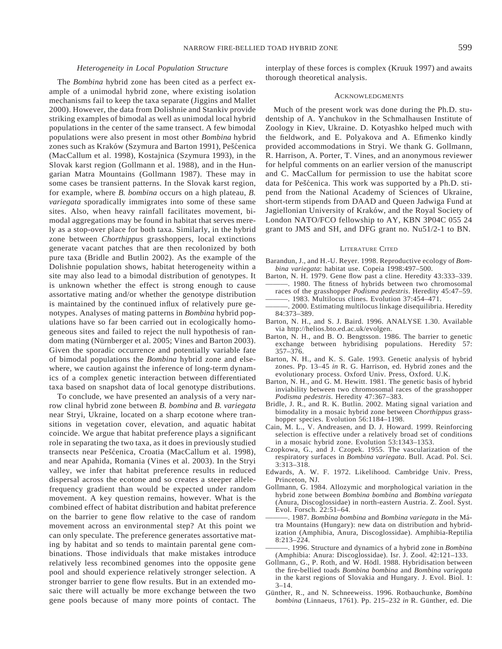# *Heterogeneity in Local Population Structure*

The *Bombina* hybrid zone has been cited as a perfect example of a unimodal hybrid zone, where existing isolation mechanisms fail to keep the taxa separate (Jiggins and Mallet 2000). However, the data from Dolishnie and Stankiv provide striking examples of bimodal as well as unimodal local hybrid populations in the center of the same transect. A few bimodal populations were also present in most other *Bombina* hybrid zones such as Kraków (Szymura and Barton 1991), Pešćenica (MacCallum et al. 1998), Kostajnica (Szymura 1993), in the Slovak karst region (Gollmann et al. 1988), and in the Hungarian Matra Mountains (Gollmann 1987). These may in some cases be transient patterns. In the Slovak karst region, for example, where *B. bombina* occurs on a high plateau, *B. variegata* sporadically immigrates into some of these same sites. Also, when heavy rainfall facilitates movement, bimodal aggregations may be found in habitat that serves merely as a stop-over place for both taxa. Similarly, in the hybrid zone between *Chorthippus* grasshoppers, local extinctions generate vacant patches that are then recolonized by both pure taxa (Bridle and Butlin 2002). As the example of the Dolishnie population shows, habitat heterogeneity within a site may also lead to a bimodal distribution of genotypes. It is unknown whether the effect is strong enough to cause assortative mating and/or whether the genotype distribution is maintained by the continued influx of relatively pure genotypes. Analyses of mating patterns in *Bombina* hybrid populations have so far been carried out in ecologically homogeneous sites and failed to reject the null hypothesis of random mating (Nürnberger et al. 2005; Vines and Barton 2003). Given the sporadic occurrence and potentially variable fate of bimodal populations the *Bombina* hybrid zone and elsewhere, we caution against the inference of long-term dynamics of a complex genetic interaction between differentiated taxa based on snapshot data of local genotype distributions.

To conclude, we have presented an analysis of a very narrow clinal hybrid zone between *B. bombina* and *B. variegata* near Stryi, Ukraine, located on a sharp ecotone where transitions in vegetation cover, elevation, and aquatic habitat coincide. We argue that habitat preference plays a significant role in separating the two taxa, as it does in previously studied transects near Pešćenica, Croatia (MacCallum et al. 1998), and near Apahida, Romania (Vines et al. 2003). In the Stryi valley, we infer that habitat preference results in reduced dispersal across the ecotone and so creates a steeper allelefrequency gradient than would be expected under random movement. A key question remains, however. What is the combined effect of habitat distribution and habitat preference on the barrier to gene flow relative to the case of random movement across an environmental step? At this point we can only speculate. The preference generates assortative mating by habitat and so tends to maintain parental gene combinations. Those individuals that make mistakes introduce relatively less recombined genomes into the opposite gene pool and should experience relatively stronger selection. A stronger barrier to gene flow results. But in an extended mosaic there will actually be more exchange between the two gene pools because of many more points of contact. The

interplay of these forces is complex (Kruuk 1997) and awaits thorough theoretical analysis.

#### ACKNOWLEDGMENTS

Much of the present work was done during the Ph.D. studentship of A. Yanchukov in the Schmalhausen Institute of Zoology in Kiev, Ukraine. D. Kotyashko helped much with the fieldwork, and E. Polyakova and A. Efimenko kindly provided accommodations in Stryi. We thank G. Gollmann, R. Harrison, A. Porter, T. Vines, and an anonymous reviewer for helpful comments on an earlier version of the manuscript and C. MacCallum for permission to use the habitat score data for Pešćenica. This work was supported by a Ph.D. stipend from the National Academy of Sciences of Ukraine, short-term stipends from DAAD and Queen Jadwiga Fund at Jagiellonian University of Kraków, and the Royal Society of London NATO/FCO fellowship to AY, KBN 3P04C 055 24 grant to JMS and SH, and DFG grant no. Nu51/2-1 to BN.

#### LITERATURE CITED

- Barandun, J., and H.-U. Reyer. 1998. Reproductive ecology of *Bombina variegata*: habitat use. Copeia 1998:497–500.
- Barton, N. H. 1979. Gene flow past a cline. Heredity 43:333–339. -. 1980. The fitness of hybrids between two chromosomal races of the grasshopper *Podisma pedestris*. Heredity 45:47–59.
- ———. 1983. Multilocus clines. Evolution 37:454–471.
- 2000. Estimating multilocus linkage disequilibria. Heredity 84:373–389.
- Barton, N. H., and S. J. Baird. 1996. ANALYSE 1.30. Available via http://helios.bto.ed.ac.uk/evolgen.
- Barton, N. H., and B. O. Bengtsson. 1986. The barrier to genetic exchange between hybridising populations. Heredity 57: 357–376.
- Barton, N. H., and K. S. Gale. 1993. Genetic analysis of hybrid zones. Pp. 13–45 *in* R. G. Harrison, ed. Hybrid zones and the evolutionary process. Oxford Univ. Press, Oxford. U.K.
- Barton, N. H., and G. M. Hewitt. 1981. The genetic basis of hybrid inviability between two chromosomal races of the grasshopper *Podisma pedestris*. Heredity 47:367–383.
- Bridle, J. R., and R. K. Butlin. 2002. Mating signal variation and bimodality in a mosaic hybrid zone between *Chorthippus* grasshopper species. Evolution 56:1184–1198.
- Cain, M. L., V. Andreasen, and D. J. Howard. 1999. Reinforcing selection is effective under a relatively broad set of conditions in a mosaic hybrid zone. Evolution 53:1343–1353.
- Czopkowa, G., and J. Czopek. 1955. The vascularization of the respiratory surfaces in *Bombina variegata*. Bull. Acad. Pol. Sci. 3:313–318.
- Edwards, A. W. F. 1972. Likelihood. Cambridge Univ. Press, Princeton, NJ.
- Gollmann, G. 1984. Allozymic and morphological variation in the hybrid zone between *Bombina bombina* and *Bombina variegata* (Anura, Discoglossidae) in north-eastern Austria. Z. Zool. Syst. Evol. Forsch. 22:51–64.
- ———. 1987. *Bombina bombina* and *Bombina variegata* in the Ma´ tra Mountains (Hungary): new data on distribution and hybridization (Amphibia, Anura, Discoglossidae). Amphibia-Reptilia 8:213–224.
- ———. 1996. Structure and dynamics of a hybrid zone in *Bombina* (Amphibia: Anura: Discoglossidae). Isr. J. Zool. 42:121–133.
- Gollmann, G., P. Roth, and W. Hödl. 1988. Hybridisation between the fire-bellied toads *Bombina bombina* and *Bombina variegata* in the karst regions of Slovakia and Hungary. J. Evol. Biol. 1:  $3 - 14.$
- Günther, R., and N. Schneeweiss. 1996. Rotbauchunke, *Bombina bombina* (Linnaeus, 1761). Pp. 215–232 *in* R. Günther, ed. Die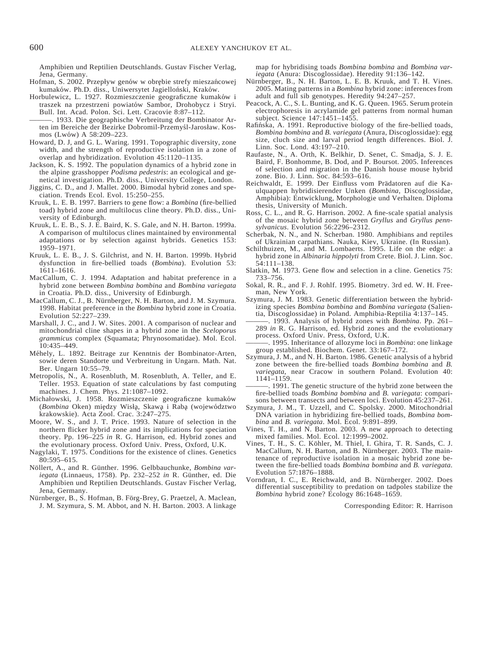Amphibien und Reptilien Deutschlands. Gustav Fischer Verlag, Jena, Germany.

- Hofman, S. 2002. Przepływ genów w obrębie strefy mieszańcowej kumaków. Ph.D. diss., Uniwersytet Jagielloński, Kraków.
- Horbulewicz, L. 1927. Rozmieszczenie geograficzne kumaków i traszek na przestrzeni powiatów Sambor, Drohobycz i Stryi. Bull. Int. Acad. Polon. Sci. Lett. Cracovie 8:87–112.
- . 1933. Die geographische Verbreitung der Bombinator Arten im Bereiche der Bezirke Dobromil-Przemyśl-Jarosław. Kosmos (Lwów) A 58:209–223.
- Howard, D. J, and G. L. Waring. 1991. Topographic diversity, zone width, and the strength of reproductive isolation in a zone of overlap and hybridization. Evolution 45:1120–1135.
- Jackson, K. S. 1992. The population dynamics of a hybrid zone in the alpine grasshopper *Podisma pedestris*: an ecological and genetical investigation. Ph.D. diss., University College, London.
- Jiggins, C. D., and J. Mallet. 2000. Bimodal hybrid zones and speciation. Trends Ecol. Evol. 15:250–255.
- Kruuk, L. E. B. 1997. Barriers to gene flow: a *Bombina* (fire-bellied toad) hybrid zone and multilocus cline theory. Ph.D. diss., University of Edinburgh.
- Kruuk, L. E. B., S. J. E. Baird, K. S. Gale, and N. H. Barton. 1999a. A comparison of multilocus clines maintained by environmental adaptations or by selection against hybrids. Genetics 153: 1959–1971.
- Kruuk, L. E. B., J. S. Gilchrist, and N. H. Barton. 1999b. Hybrid dysfunction in fire-bellied toads (*Bombina*). Evolution 53: 1611–1616.
- MacCallum, C. J. 1994. Adaptation and habitat preference in a hybrid zone between *Bombina bombina* and *Bombina variegata* in Croatia. Ph.D. diss., University of Edinburgh.
- MacCallum, C. J., B. Nürnberger, N. H. Barton, and J. M. Szymura. 1998. Habitat preference in the *Bombina* hybrid zone in Croatia. Evolution 52:227–239.
- Marshall, J. C., and J. W. Sites. 2001. A comparison of nuclear and mitochondrial cline shapes in a hybrid zone in the *Sceloporus grammicus* complex (Squamata; Phrynosomatidae). Mol. Ecol. 10:435–449.
- Méhely, L. 1892. Beitrage zur Kenntnis der Bombinator-Arten, sowie deren Standorte und Verbreitung in Ungarn. Math. Nat. Ber. Ungarn 10:55–79.
- Metropolis, N., A. Rosenbluth, M. Rosenbluth, A. Teller, and E. Teller. 1953. Equation of state calculations by fast computing machines. J. Chem. Phys. 21:1087–1092.
- Michałowski, J. 1958. Rozmieszczenie geograficzne kumaków (*Bombina* Oken) między Wisłą, Skawą i Rabą (województwo krakowskie). Acta Zool. Crac. 3:247–275.
- Moore, W. S., and J. T. Price. 1993. Nature of selection in the northern flicker hybrid zone and its implications for speciation theory. Pp. 196–225 *in* R. G. Harrison, ed. Hybrid zones and the evolutionary process. Oxford Univ. Press, Oxford, U.K.
- Nagylaki, T. 1975. Conditions for the existence of clines. Genetics 80:595–615.
- Nöllert, A., and R. Günther. 1996. Gelbbauchunke, *Bombina variegata* (Linnaeus, 1758). Pp. 232–252 *in* R. Günther, ed. Die Amphibien und Reptilien Deutschlands. Gustav Fischer Verlag, Jena, Germany.
- Nürnberger, B., S. Hofman, B. Förg-Brey, G. Praetzel, A. Maclean, J. M. Szymura, S. M. Abbot, and N. H. Barton. 2003. A linkage

map for hybridising toads *Bombina bombina* and *Bombina variegata* (Anura: Discoglossidae). Heredity 91:136–142.

- Nürnberger, B., N. H. Barton, L. E. B. Kruuk, and T. H. Vines. 2005. Mating patterns in a *Bombina* hybrid zone: inferences from adult and full sib genotypes. Heredity 94:247–257.
- Peacock, A. C., S. L. Bunting, and K. G. Queen. 1965. Serum protein electrophoresis in acrylamide gel patterns from normal human subject. Science 147:1451–1455.
- Rafińska, A. 1991. Reproductive biology of the fire-bellied toads, *Bombina bombina* and *B. variegata* (Anura, Discoglossidae): egg size, cluch size and larval period length differences. Biol. J. Linn. Soc. Lond. 43:197–210.
- Raufaste, N., A. Orth, K. Belkhir, D. Senet, C. Smadja, S. J. E. Baird, F. Bonhomme, B. Dod, and P. Boursot. 2005. Inferences of selection and migration in the Danish house mouse hybrid zone. Bio. J. Linn. Soc. 84:593–616.
- Reichwaldt, E. 1999. Der Einfluss vom Prädatoren auf die Kaulquappen hybridisierender Unken (*Bombina*, Discoglossidae, Amphibia): Entwicklung, Morphologie und Verhalten. Diploma thesis, University of Munich.
- Ross, C. L., and R. G. Harrison. 2002. A fine-scale spatial analysis of the mosaic hybrid zone between *Gryllus* and *Gryllus pennsylvanicus*. Evolution 56:2296–2312.
- Scherbak, N. N., and N. Scherban. 1980. Amphibians and reptiles of Ukrainian carpathians. Nauka, Kiev, Ukraine. (In Russian).
- Schilthuizen, M., and M. Lombaerts. 1995. Life on the edge: a hybrid zone in *Albinaria hippolyti* from Crete. Biol. J. Linn. Soc. 54:111–138.
- Slatkin, M. 1973. Gene flow and selection in a cline. Genetics 75: 733–756.
- Sokal, R. R., and F. J. Rohlf. 1995. Biometry. 3rd ed. W. H. Freeman, New York.
- Szymura, J. M. 1983. Genetic differentiation between the hybridizing species *Bombina bombina* and *Bombina variegata* (Salientia, Discoglossidae) in Poland. Amphibia-Reptilia 4:137–145.
- ———. 1993. Analysis of hybrid zones with *Bombina*. Pp. 261– 289 *in* R. G. Harrison, ed. Hybrid zones and the evolutionary process. Oxford Univ. Press, Oxford, U.K.
- ———. 1995. Inheritance of allozyme loci in *Bombina*: one linkage group established. Biochem. Genet. 33:167–172.
- Szymura, J. M., and N. H. Barton. 1986. Genetic analysis of a hybrid zone between the fire-bellied toads *Bombina bombina* and *B. variegata*, near Cracow in southern Poland. Evolution 40: 1141–1159.
- 1991. The genetic structure of the hybrid zone between the fire-bellied toads *Bombina bombina* and *B. variegata*: comparisons between transects and between loci. Evolution 45:237–261.
- Szymura, J. M., T. Uzzell, and C. Spolsky. 2000. Mitochondrial DNA variation in hybridizing fire-bellied toads, *Bombina bombina* and *B. variegata*. Mol. Ecol. 9:891–899.
- Vines, T. H., and N. Barton. 2003. A new approach to detecting mixed families. Mol. Ecol. 12:1999–2002.
- Vines, T. H., S. C. Köhler, M. Thiel, I. Ghira, T. R. Sands, C. J. MacCallum, N. H. Barton, and B. Nürnberger. 2003. The maintenance of reproductive isolation in a mosaic hybrid zone between the fire-bellied toads *Bombina bombina* and *B. variegata*. Evolution 57:1876–1888.
- Vorndran, I. C., E. Reichwald, and B. Nürnberger. 2002. Does differential susceptibility to predation on tadpoles stabilize the *Bombina* hybrid zone? Ecology 86:1648–1659.

Corresponding Editor: R. Harrison